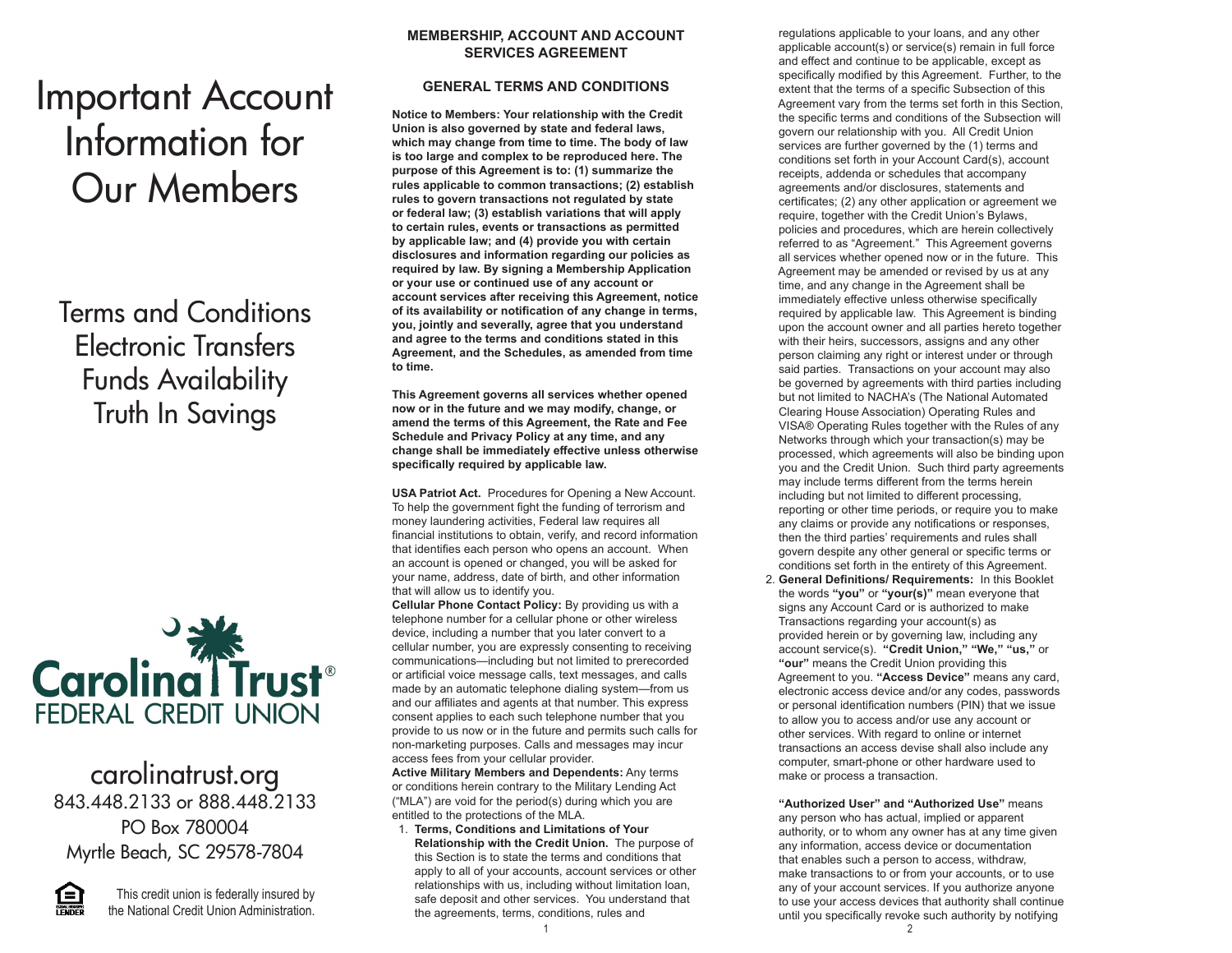# Important Account Information for Our Members

Terms and Conditions Electronic Transfers Funds Availability Truth In Savings



carolinatrust.org 843.448.2133 or 888.448.2133 PO Box 780004 Myrtle Beach, SC 29578-7804



This credit union is federally insured by the National Credit Union Administration.

# **MEMBERSHIP, ACCOUNT AND ACCOUNT SERVICES AGREEMENT**

# **GENERAL TERMS AND CONDITIONS**

**Notice to Members: Your relationship with the Credit Union is also governed by state and federal laws, which may change from time to time. The body of law is too large and complex to be reproduced here. The purpose of this Agreement is to: (1) summarize the rules applicable to common transactions; (2) establish rules to govern transactions not regulated by state or federal law; (3) establish variations that will apply to certain rules, events or transactions as permitted by applicable law; and (4) provide you with certain disclosures and information regarding our policies as required by law. By signing a Membership Application or your use or continued use of any account or account services after receiving this Agreement, notice of its availability or notification of any change in terms, you, jointly and severally, agree that you understand and agree to the terms and conditions stated in this Agreement, and the Schedules, as amended from time to time.** 

**This Agreement governs all services whether opened now or in the future and we may modify, change, or amend the terms of this Agreement, the Rate and Fee Schedule and Privacy Policy at any time, and any change shall be immediately effective unless otherwise specifically required by applicable law.**

**USA Patriot Act.** Procedures for Opening a New Account. To help the government fight the funding of terrorism and money laundering activities, Federal law requires all financial institutions to obtain, verify, and record information that identifies each person who opens an account. When an account is opened or changed, you will be asked for your name, address, date of birth, and other information that will allow us to identify you.

**Cellular Phone Contact Policy:** By providing us with a telephone number for a cellular phone or other wireless device, including a number that you later convert to a cellular number, you are expressly consenting to receiving communications—including but not limited to prerecorded or artificial voice message calls, text messages, and calls made by an automatic telephone dialing system—from us and our affiliates and agents at that number. This express consent applies to each such telephone number that you provide to us now or in the future and permits such calls for non-marketing purposes. Calls and messages may incur access fees from your cellular provider.

**Active Military Members and Dependents:** Any terms or conditions herein contrary to the Military Lending Act ("MLA") are void for the period(s) during which you are entitled to the protections of the MLA.

 1. **Terms, Conditions and Limitations of Your Relationship with the Credit Union.** The purpose of this Section is to state the terms and conditions that apply to all of your accounts, account services or other relationships with us, including without limitation loan, safe deposit and other services. You understand that the agreements, terms, conditions, rules and

 regulations applicable to your loans, and any other applicable account(s) or service(s) remain in full force and effect and continue to be applicable, except as specifically modified by this Agreement. Further, to the extent that the terms of a specific Subsection of this Agreement vary from the terms set forth in this Section, the specific terms and conditions of the Subsection will govern our relationship with you. All Credit Union services are further governed by the (1) terms and conditions set forth in your Account Card(s), account receipts, addenda or schedules that accompany agreements and/or disclosures, statements and certificates; (2) any other application or agreement we require, together with the Credit Union's Bylaws, policies and procedures, which are herein collectively referred to as "Agreement." This Agreement governs all services whether opened now or in the future. This Agreement may be amended or revised by us at any time, and any change in the Agreement shall be immediately effective unless otherwise specifically required by applicable law. This Agreement is binding upon the account owner and all parties hereto together with their heirs, successors, assigns and any other person claiming any right or interest under or through said parties. Transactions on your account may also be governed by agreements with third parties including but not limited to NACHA's (The National Automated Clearing House Association) Operating Rules and VISA® Operating Rules together with the Rules of any Networks through which your transaction(s) may be processed, which agreements will also be binding upon you and the Credit Union. Such third party agreements may include terms different from the terms herein including but not limited to different processing, reporting or other time periods, or require you to make any claims or provide any notifications or responses, then the third parties' requirements and rules shall govern despite any other general or specific terms or conditions set forth in the entirety of this Agreement.

 2. **General Definitions/ Requirements:** In this Booklet the words **"you"** or **"your(s)"** mean everyone that signs any Account Card or is authorized to make Transactions regarding your account(s) as provided herein or by governing law, including any account service(s). **"Credit Union," "We," "us,"** or **"our"** means the Credit Union providing this Agreement to you. **"Access Device"** means any card, electronic access device and/or any codes, passwords or personal identification numbers (PIN) that we issue to allow you to access and/or use any account or other services. With regard to online or internet transactions an access devise shall also include any computer, smart-phone or other hardware used to make or process a transaction.

 **"Authorized User" and "Authorized Use"** means any person who has actual, implied or apparent authority, or to whom any owner has at any time given any information, access device or documentation that enables such a person to access, withdraw, make transactions to or from your accounts, or to use any of your account services. If you authorize anyone to use your access devices that authority shall continue until you specifically revoke such authority by notifying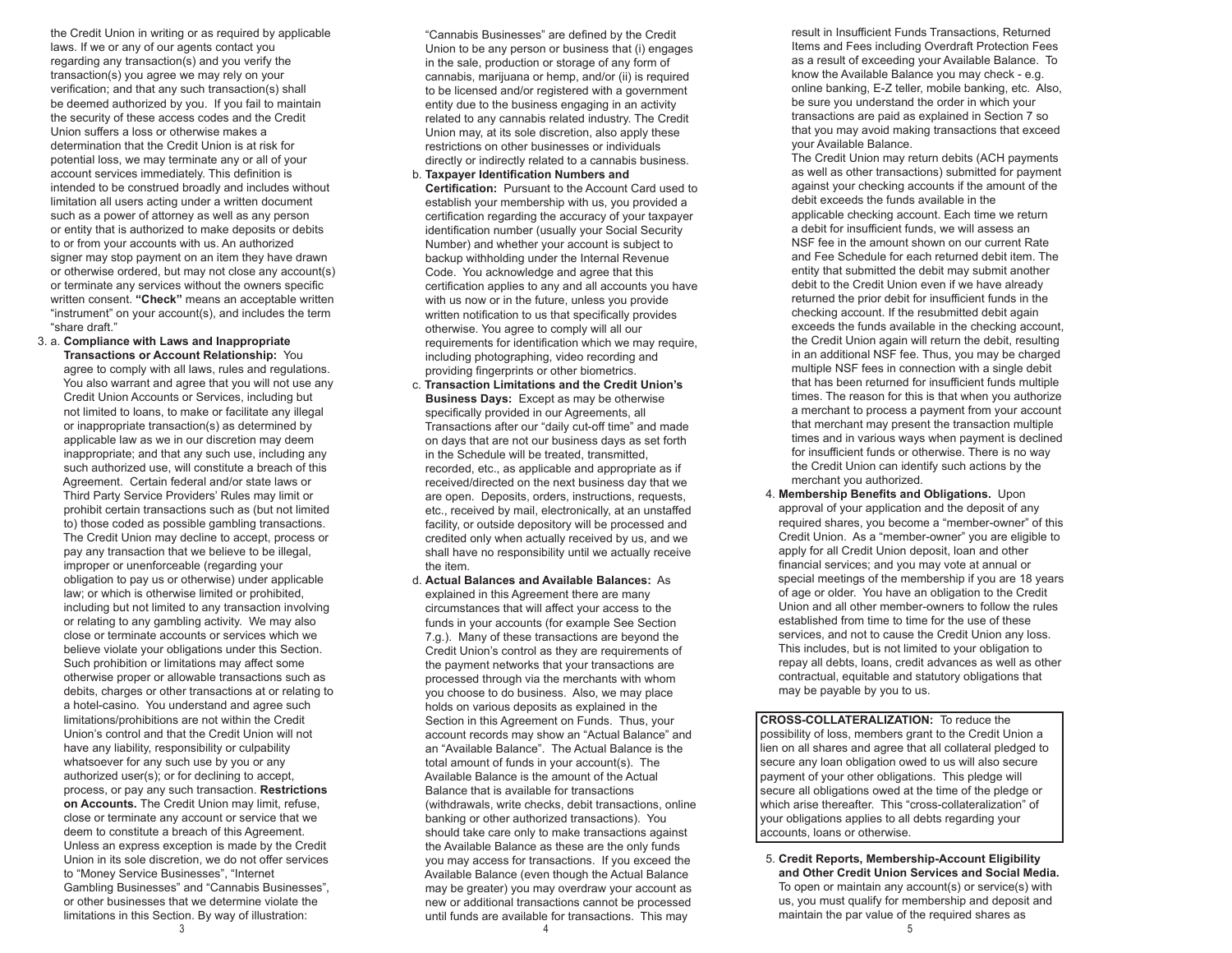the Credit Union in writing or as required by applicable laws. If we or any of our agents contact you regarding any transaction(s) and you verify the transaction(s) you agree we may rely on your verification; and that any such transaction(s) shall be deemed authorized by you. If you fail to maintain the security of these access codes and the Credit Union suffers a loss or otherwise makes a determination that the Credit Union is at risk for potential loss, we may terminate any or all of your account services immediately. This definition is intended to be construed broadly and includes without limitation all users acting under a written document such as a power of attorney as well as any person or entity that is authorized to make deposits or debits to or from your accounts with us. An authorized signer may stop payment on an item they have drawn or otherwise ordered, but may not close any account(s) or terminate any services without the owners specific written consent. **"Check"** means an acceptable written "instrument" on your account(s), and includes the term "share draft."

 3. a. **Compliance with Laws and Inappropriate Transactions or Account Relationship:** You agree to comply with all laws, rules and regulations. You also warrant and agree that you will not use any Credit Union Accounts or Services, including but not limited to loans, to make or facilitate any illegal or inappropriate transaction(s) as determined by applicable law as we in our discretion may deem inappropriate; and that any such use, including any such authorized use, will constitute a breach of this Agreement. Certain federal and/or state laws or Third Party Service Providers' Rules may limit or prohibit certain transactions such as (but not limited to) those coded as possible gambling transactions. The Credit Union may decline to accept, process or pay any transaction that we believe to be illegal, improper or unenforceable (regarding your obligation to pay us or otherwise) under applicable law; or which is otherwise limited or prohibited, including but not limited to any transaction involving or relating to any gambling activity. We may also close or terminate accounts or services which we believe violate your obligations under this Section. Such prohibition or limitations may affect some otherwise proper or allowable transactions such as debits, charges or other transactions at or relating to a hotel-casino. You understand and agree such limitations/prohibitions are not within the Credit Union's control and that the Credit Union will not have any liability, responsibility or culpability whatsoever for any such use by you or any authorized user(s); or for declining to accept, process, or pay any such transaction. **Restrictions on Accounts.** The Credit Union may limit, refuse, close or terminate any account or service that we deem to constitute a breach of this Agreement. Unless an express exception is made by the Credit Union in its sole discretion, we do not offer services to "Money Service Businesses", "Internet Gambling Businesses" and "Cannabis Businesses", or other businesses that we determine violate the limitations in this Section. By way of illustration:

 "Cannabis Businesses" are defined by the Credit Union to be any person or business that (i) engages in the sale, production or storage of any form of cannabis, marijuana or hemp, and/or (ii) is required to be licensed and/or registered with a government entity due to the business engaging in an activity related to any cannabis related industry. The Credit Union may, at its sole discretion, also apply these restrictions on other businesses or individuals directly or indirectly related to a cannabis business. b. **Taxpayer Identification Numbers and** 

 **Certification:** Pursuant to the Account Card used to establish your membership with us, you provided a certification regarding the accuracy of your taxpayer identification number (usually your Social Security Number) and whether your account is subject to backup withholding under the Internal Revenue Code. You acknowledge and agree that this certification applies to any and all accounts you have with us now or in the future, unless you provide written notification to us that specifically provides otherwise. You agree to comply will all our requirements for identification which we may require, including photographing, video recording and providing fingerprints or other biometrics.

- c. **Transaction Limitations and the Credit Union's Business Days:** Except as may be otherwise specifically provided in our Agreements, all Transactions after our "daily cut-off time" and made on days that are not our business days as set forth in the Schedule will be treated, transmitted, recorded, etc., as applicable and appropriate as if received/directed on the next business day that we are open. Deposits, orders, instructions, requests, etc., received by mail, electronically, at an unstaffed facility, or outside depository will be processed and credited only when actually received by us, and we shall have no responsibility until we actually receive the item.
- d. **Actual Balances and Available Balances:** As explained in this Agreement there are many circumstances that will affect your access to the funds in your accounts (for example See Section 7.g.). Many of these transactions are beyond the Credit Union's control as they are requirements of the payment networks that your transactions are processed through via the merchants with whom you choose to do business. Also, we may place holds on various deposits as explained in the Section in this Agreement on Funds. Thus, your account records may show an "Actual Balance" and an "Available Balance". The Actual Balance is the total amount of funds in your account(s). The Available Balance is the amount of the Actual Balance that is available for transactions (withdrawals, write checks, debit transactions, online banking or other authorized transactions). You should take care only to make transactions against the Available Balance as these are the only funds you may access for transactions. If you exceed the Available Balance (even though the Actual Balance may be greater) you may overdraw your account as new or additional transactions cannot be processed until funds are available for transactions. This may

 result in Insufficient Funds Transactions, Returned Items and Fees including Overdraft Protection Fees as a result of exceeding your Available Balance. To know the Available Balance you may check - e.g. online banking, E-Z teller, mobile banking, etc. Also, be sure you understand the order in which your transactions are paid as explained in Section 7 so that you may avoid making transactions that exceed your Available Balance.

 The Credit Union may return debits (ACH payments as well as other transactions) submitted for payment against your checking accounts if the amount of the debit exceeds the funds available in the applicable checking account. Each time we return a debit for insufficient funds, we will assess an NSF fee in the amount shown on our current Rate and Fee Schedule for each returned debit item. The entity that submitted the debit may submit another debit to the Credit Union even if we have already returned the prior debit for insufficient funds in the checking account. If the resubmitted debit again exceeds the funds available in the checking account, the Credit Union again will return the debit, resulting in an additional NSF fee. Thus, you may be charged multiple NSF fees in connection with a single debit that has been returned for insufficient funds multiple times. The reason for this is that when you authorize a merchant to process a payment from your account that merchant may present the transaction multiple times and in various ways when payment is declined for insufficient funds or otherwise. There is no way the Credit Union can identify such actions by the merchant you authorized.

 4. **Membership Benefits and Obligations.** Upon approval of your application and the deposit of any required shares, you become a "member-owner" of this Credit Union. As a "member-owner" you are eligible to apply for all Credit Union deposit, loan and other financial services; and you may vote at annual or special meetings of the membership if you are 18 years of age or older. You have an obligation to the Credit Union and all other member-owners to follow the rules established from time to time for the use of these services, and not to cause the Credit Union any loss. This includes, but is not limited to your obligation to repay all debts, loans, credit advances as well as other contractual, equitable and statutory obligations that may be payable by you to us.

**CROSS-COLLATERALIZATION:** To reduce the possibility of loss, members grant to the Credit Union a lien on all shares and agree that all collateral pledged to secure any loan obligation owed to us will also secure payment of your other obligations. This pledge will secure all obligations owed at the time of the pledge or which arise thereafter. This "cross-collateralization" of your obligations applies to all debts regarding your accounts, loans or otherwise.

 5. **Credit Reports, Membership-Account Eligibility and Other Credit Union Services and Social Media.** To open or maintain any account(s) or service(s) with us, you must qualify for membership and deposit and maintain the par value of the required shares as

j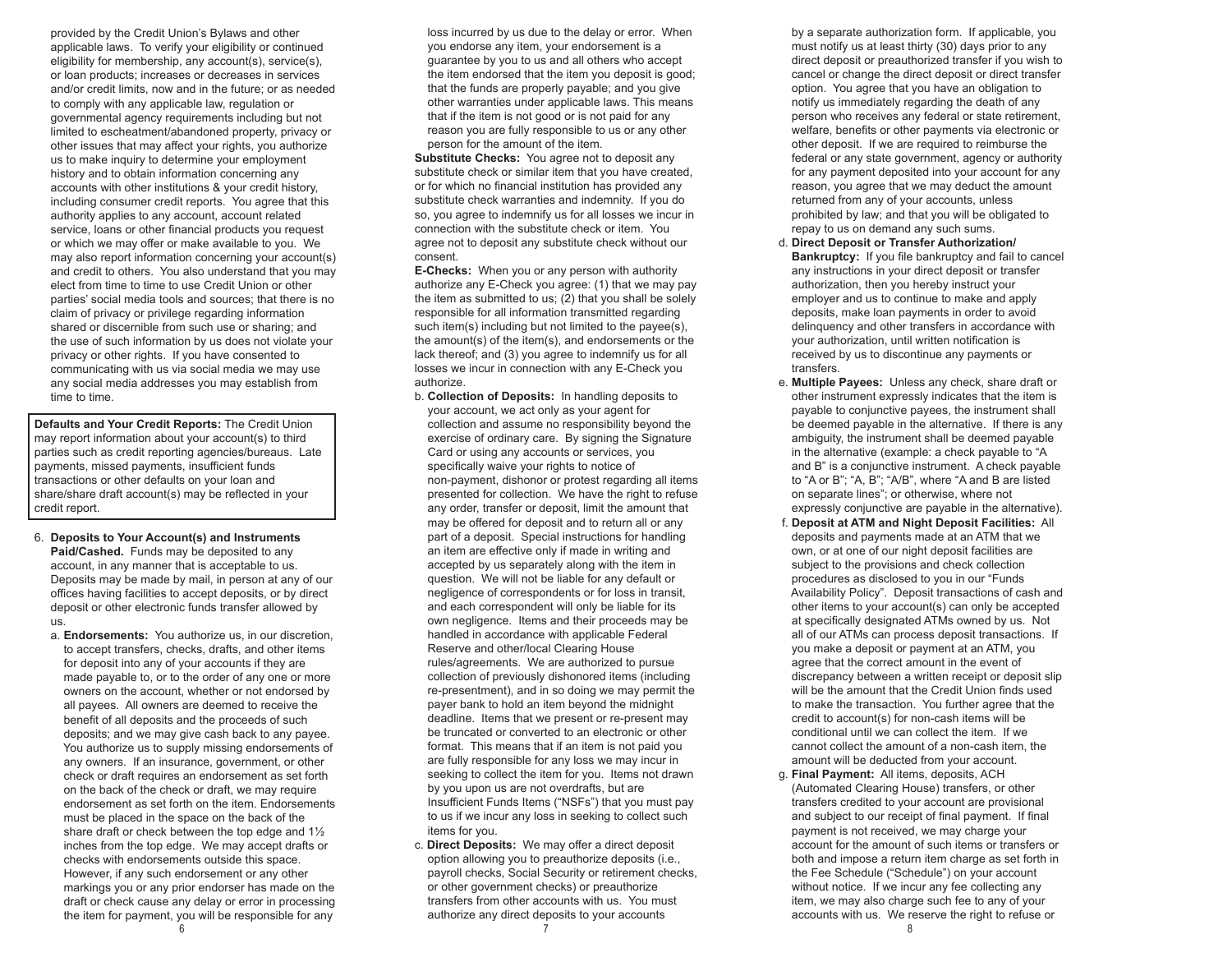provided by the Credit Union's Bylaws and other applicable laws. To verify your eligibility or continued eligibility for membership, any account(s), service(s), or loan products; increases or decreases in services and/or credit limits, now and in the future; or as needed to comply with any applicable law, regulation or governmental agency requirements including but not limited to escheatment/abandoned property, privacy or other issues that may affect your rights, you authorize us to make inquiry to determine your employment history and to obtain information concerning any accounts with other institutions & your credit history, including consumer credit reports. You agree that this authority applies to any account, account related service, loans or other financial products you request or which we may offer or make available to you. We may also report information concerning your account(s) and credit to others. You also understand that you may elect from time to time to use Credit Union or other parties' social media tools and sources; that there is no claim of privacy or privilege regarding information shared or discernible from such use or sharing; and the use of such information by us does not violate your privacy or other rights. If you have consented to communicating with us via social media we may use any social media addresses you may establish from time to time.

**Defaults and Your Credit Reports:** The Credit Union may report information about your account(s) to third parties such as credit reporting agencies/bureaus. Late payments, missed payments, insufficient funds transactions or other defaults on your loan and share/share draft account(s) may be reflected in your credit report.

- 6. **Deposits to Your Account(s) and Instruments Paid/Cashed.** Funds may be deposited to any account, in any manner that is acceptable to us. Deposits may be made by mail, in person at any of our offices having facilities to accept deposits, or by direct deposit or other electronic funds transfer allowed by us.
	- a. **Endorsements:** You authorize us, in our discretion, to accept transfers, checks, drafts, and other items for deposit into any of your accounts if they are made payable to, or to the order of any one or more owners on the account, whether or not endorsed by all payees. All owners are deemed to receive the benefit of all deposits and the proceeds of such deposits; and we may give cash back to any payee. You authorize us to supply missing endorsements of any owners. If an insurance, government, or other check or draft requires an endorsement as set forth on the back of the check or draft, we may require endorsement as set forth on the item. Endorsements must be placed in the space on the back of the share draft or check between the top edge and 1½ inches from the top edge. We may accept drafts or checks with endorsements outside this space. However, if any such endorsement or any other markings you or any prior endorser has made on the draft or check cause any delay or error in processing the item for payment, you will be responsible for any

 loss incurred by us due to the delay or error. When you endorse any item, your endorsement is a guarantee by you to us and all others who accept the item endorsed that the item you deposit is good; that the funds are properly payable; and you give other warranties under applicable laws. This means that if the item is not good or is not paid for any reason you are fully responsible to us or any other person for the amount of the item.

 **Substitute Checks:** You agree not to deposit any substitute check or similar item that you have created, or for which no financial institution has provided any substitute check warranties and indemnity. If you do so, you agree to indemnify us for all losses we incur in connection with the substitute check or item. You agree not to deposit any substitute check without our consent.

 **E-Checks:** When you or any person with authority authorize any E-Check you agree: (1) that we may pay the item as submitted to us; (2) that you shall be solely responsible for all information transmitted regarding such item(s) including but not limited to the payee(s), the amount(s) of the item(s), and endorsements or the lack thereof; and (3) you agree to indemnify us for all losses we incur in connection with any E-Check you authorize.

- b. **Collection of Deposits:** In handling deposits to your account, we act only as your agent for collection and assume no responsibility beyond the exercise of ordinary care. By signing the Signature Card or using any accounts or services, you specifically waive your rights to notice of non-payment, dishonor or protest regarding all items presented for collection. We have the right to refuse any order, transfer or deposit, limit the amount that may be offered for deposit and to return all or any part of a deposit. Special instructions for handling an item are effective only if made in writing and accepted by us separately along with the item in question. We will not be liable for any default or negligence of correspondents or for loss in transit, and each correspondent will only be liable for its own negligence. Items and their proceeds may be handled in accordance with applicable Federal Reserve and other/local Clearing House rules/agreements. We are authorized to pursue collection of previously dishonored items (including re-presentment), and in so doing we may permit the payer bank to hold an item beyond the midnight deadline. Items that we present or re-present may be truncated or converted to an electronic or other format. This means that if an item is not paid you are fully responsible for any loss we may incur in seeking to collect the item for you. Items not drawn by you upon us are not overdrafts, but are Insufficient Funds Items ("NSFs") that you must pay to us if we incur any loss in seeking to collect such items for you.
- c. **Direct Deposits:** We may offer a direct deposit option allowing you to preauthorize deposits (i.e., payroll checks, Social Security or retirement checks, or other government checks) or preauthorize transfers from other accounts with us. You must authorize any direct deposits to your accounts

 by a separate authorization form. If applicable, you must notify us at least thirty (30) days prior to any direct deposit or preauthorized transfer if you wish to cancel or change the direct deposit or direct transfer option. You agree that you have an obligation to notify us immediately regarding the death of any person who receives any federal or state retirement, welfare, benefits or other payments via electronic or other deposit. If we are required to reimburse the federal or any state government, agency or authority for any payment deposited into your account for any reason, you agree that we may deduct the amount returned from any of your accounts, unless prohibited by law; and that you will be obligated to repay to us on demand any such sums.

- d. **Direct Deposit or Transfer Authorization/ Bankruptcy:** If you file bankruptcy and fail to cancel any instructions in your direct deposit or transfer authorization, then you hereby instruct your employer and us to continue to make and apply deposits, make loan payments in order to avoid delinquency and other transfers in accordance with your authorization, until written notification is received by us to discontinue any payments or transfers.
- e. **Multiple Payees:** Unless any check, share draft or other instrument expressly indicates that the item is payable to conjunctive payees, the instrument shall be deemed payable in the alternative. If there is any ambiguity, the instrument shall be deemed payable in the alternative (example: a check payable to "A and B" is a conjunctive instrument. A check payable to "A or B"; "A, B"; "A/B", where "A and B are listed on separate lines"; or otherwise, where not expressly conjunctive are payable in the alternative).
- f. **Deposit at ATM and Night Deposit Facilities:** All deposits and payments made at an ATM that we own, or at one of our night deposit facilities are subject to the provisions and check collection procedures as disclosed to you in our "Funds Availability Policy". Deposit transactions of cash and other items to your account(s) can only be accepted at specifically designated ATMs owned by us. Not all of our ATMs can process deposit transactions. If you make a deposit or payment at an ATM, you agree that the correct amount in the event of discrepancy between a written receipt or deposit slip will be the amount that the Credit Union finds used to make the transaction. You further agree that the credit to account(s) for non-cash items will be conditional until we can collect the item. If we cannot collect the amount of a non-cash item, the amount will be deducted from your account.
- g. **Final Payment:** All items, deposits, ACH (Automated Clearing House) transfers, or other transfers credited to your account are provisional and subject to our receipt of final payment. If final payment is not received, we may charge your account for the amount of such items or transfers or both and impose a return item charge as set forth in the Fee Schedule ("Schedule") on your account without notice. If we incur any fee collecting any item, we may also charge such fee to any of your accounts with us. We reserve the right to refuse or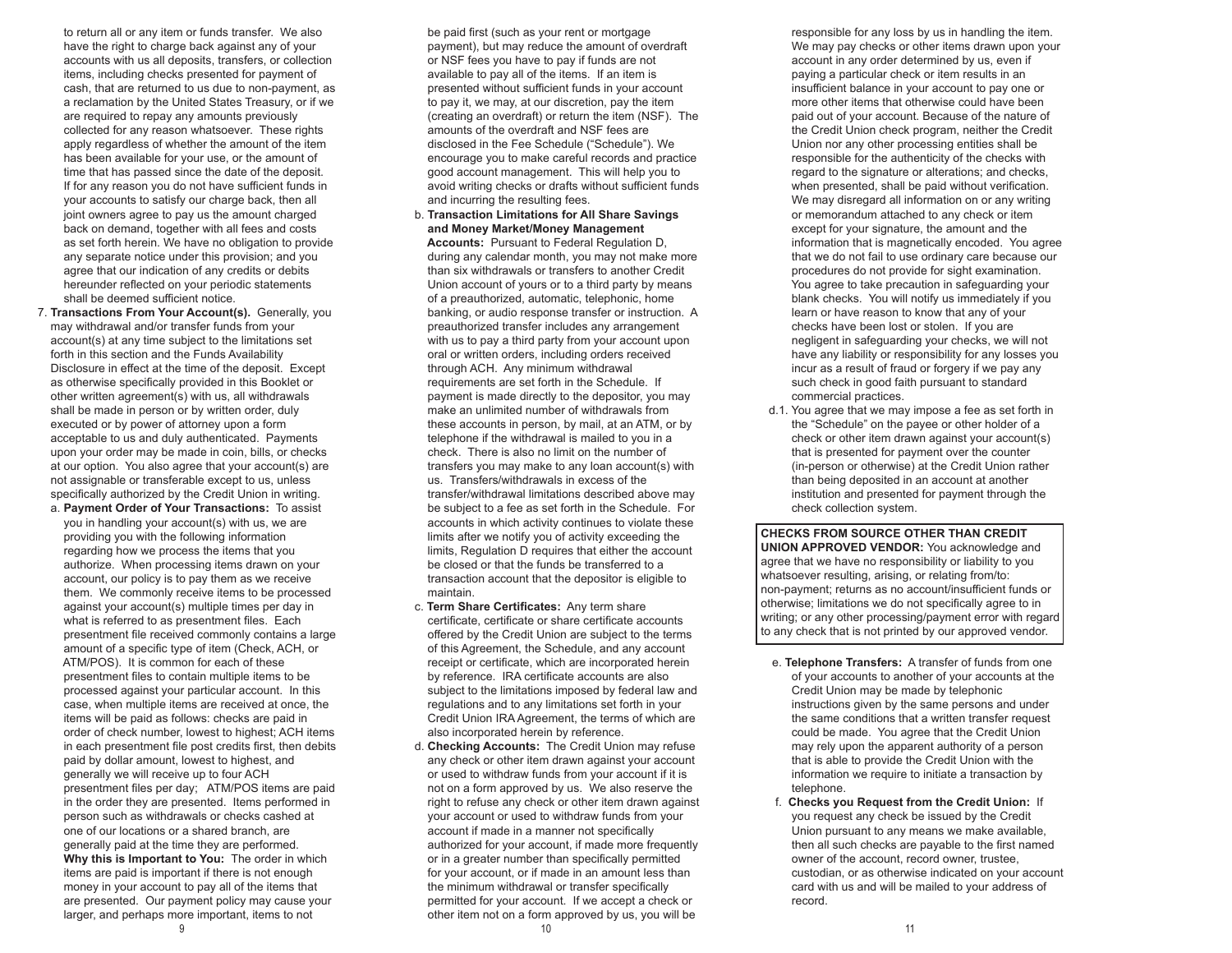to return all or any item or funds transfer. We also have the right to charge back against any of your accounts with us all deposits, transfers, or collection items, including checks presented for payment of cash, that are returned to us due to non-payment, as a reclamation by the United States Treasury, or if we are required to repay any amounts previously collected for any reason whatsoever. These rights apply regardless of whether the amount of the item has been available for your use, or the amount of time that has passed since the date of the deposit. If for any reason you do not have sufficient funds in your accounts to satisfy our charge back, then all joint owners agree to pay us the amount charged back on demand, together with all fees and costs as set forth herein. We have no obligation to provide any separate notice under this provision; and you agree that our indication of any credits or debits hereunder reflected on your periodic statements shall be deemed sufficient notice.

- 7. **Transactions From Your Account(s).** Generally, you may withdrawal and/or transfer funds from your account(s) at any time subject to the limitations set forth in this section and the Funds Availability Disclosure in effect at the time of the deposit. Except as otherwise specifically provided in this Booklet or other written agreement(s) with us, all withdrawals shall be made in person or by written order, duly executed or by power of attorney upon a form acceptable to us and duly authenticated. Payments upon your order may be made in coin, bills, or checks at our option. You also agree that your account(s) are not assignable or transferable except to us, unless specifically authorized by the Credit Union in writing. a. **Payment Order of Your Transactions:** To assist
	- you in handling your account(s) with us, we are providing you with the following information regarding how we process the items that you authorize. When processing items drawn on your account, our policy is to pay them as we receive them. We commonly receive items to be processed against your account(s) multiple times per day in what is referred to as presentment files. Each presentment file received commonly contains a large amount of a specific type of item (Check, ACH, or ATM/POS). It is common for each of these presentment files to contain multiple items to be processed against your particular account. In this case, when multiple items are received at once, the items will be paid as follows: checks are paid in order of check number, lowest to highest; ACH items in each presentment file post credits first, then debits paid by dollar amount, lowest to highest, and generally we will receive up to four ACH presentment files per day; ATM/POS items are paid in the order they are presented. Items performed in person such as withdrawals or checks cashed at one of our locations or a shared branch, are generally paid at the time they are performed. **Why this is Important to You:** The order in which items are paid is important if there is not enough money in your account to pay all of the items that are presented. Our payment policy may cause your larger, and perhaps more important, items to not

 be paid first (such as your rent or mortgage payment), but may reduce the amount of overdraft or NSF fees you have to pay if funds are not available to pay all of the items. If an item is presented without sufficient funds in your account to pay it, we may, at our discretion, pay the item (creating an overdraft) or return the item (NSF). The amounts of the overdraft and NSF fees are disclosed in the Fee Schedule ("Schedule"). We encourage you to make careful records and practice good account management. This will help you to avoid writing checks or drafts without sufficient funds and incurring the resulting fees.

- b. **Transaction Limitations for All Share Savings and Money Market/Money Management Accounts:** Pursuant to Federal Regulation D, during any calendar month, you may not make more than six withdrawals or transfers to another Credit Union account of yours or to a third party by means of a preauthorized, automatic, telephonic, home banking, or audio response transfer or instruction. A preauthorized transfer includes any arrangement with us to pay a third party from your account upon oral or written orders, including orders received through ACH. Any minimum withdrawal requirements are set forth in the Schedule. If payment is made directly to the depositor, you may make an unlimited number of withdrawals from these accounts in person, by mail, at an ATM, or by telephone if the withdrawal is mailed to you in a check. There is also no limit on the number of transfers you may make to any loan account(s) with us. Transfers/withdrawals in excess of the transfer/withdrawal limitations described above may be subject to a fee as set forth in the Schedule. For accounts in which activity continues to violate these limits after we notify you of activity exceeding the limits, Regulation D requires that either the account be closed or that the funds be transferred to a transaction account that the depositor is eligible to maintain.
- c. **Term Share Certificates:** Any term share certificate, certificate or share certificate accounts offered by the Credit Union are subject to the terms of this Agreement, the Schedule, and any account receipt or certificate, which are incorporated herein by reference. IRA certificate accounts are also subject to the limitations imposed by federal law and regulations and to any limitations set forth in your Credit Union IRA Agreement, the terms of which are also incorporated herein by reference.
- d. **Checking Accounts:** The Credit Union may refuse any check or other item drawn against your account or used to withdraw funds from your account if it is not on a form approved by us. We also reserve the right to refuse any check or other item drawn against your account or used to withdraw funds from your account if made in a manner not specifically authorized for your account, if made more frequently or in a greater number than specifically permitted for your account, or if made in an amount less than the minimum withdrawal or transfer specifically permitted for your account. If we accept a check or other item not on a form approved by us, you will be

 responsible for any loss by us in handling the item. We may pay checks or other items drawn upon your account in any order determined by us, even if paying a particular check or item results in an insufficient balance in your account to pay one or more other items that otherwise could have been paid out of your account. Because of the nature of the Credit Union check program, neither the Credit Union nor any other processing entities shall be responsible for the authenticity of the checks with regard to the signature or alterations; and checks, when presented, shall be paid without verification. We may disregard all information on or any writing or memorandum attached to any check or item except for your signature, the amount and the information that is magnetically encoded. You agree that we do not fail to use ordinary care because our procedures do not provide for sight examination. You agree to take precaution in safeguarding your blank checks. You will notify us immediately if you learn or have reason to know that any of your checks have been lost or stolen. If you are negligent in safeguarding your checks, we will not have any liability or responsibility for any losses you incur as a result of fraud or forgery if we pay any such check in good faith pursuant to standard commercial practices.

 d.1. You agree that we may impose a fee as set forth in the "Schedule" on the payee or other holder of a check or other item drawn against your account(s) that is presented for payment over the counter (in-person or otherwise) at the Credit Union rather than being deposited in an account at another institution and presented for payment through the check collection system.

**CHECKS FROM SOURCE OTHER THAN CREDIT UNION APPROVED VENDOR:** You acknowledge and agree that we have no responsibility or liability to you whatsoever resulting, arising, or relating from/to: non-payment; returns as no account/insufficient funds or otherwise; limitations we do not specifically agree to in writing; or any other processing/payment error with regard to any check that is not printed by our approved vendor.

- e. **Telephone Transfers:** A transfer of funds from one of your accounts to another of your accounts at the Credit Union may be made by telephonic instructions given by the same persons and under the same conditions that a written transfer request could be made. You agree that the Credit Union may rely upon the apparent authority of a person that is able to provide the Credit Union with the information we require to initiate a transaction by telephone.
- f. **Checks you Request from the Credit Union:** If you request any check be issued by the Credit Union pursuant to any means we make available, then all such checks are payable to the first named owner of the account, record owner, trustee, custodian, or as otherwise indicated on your account card with us and will be mailed to your address of record.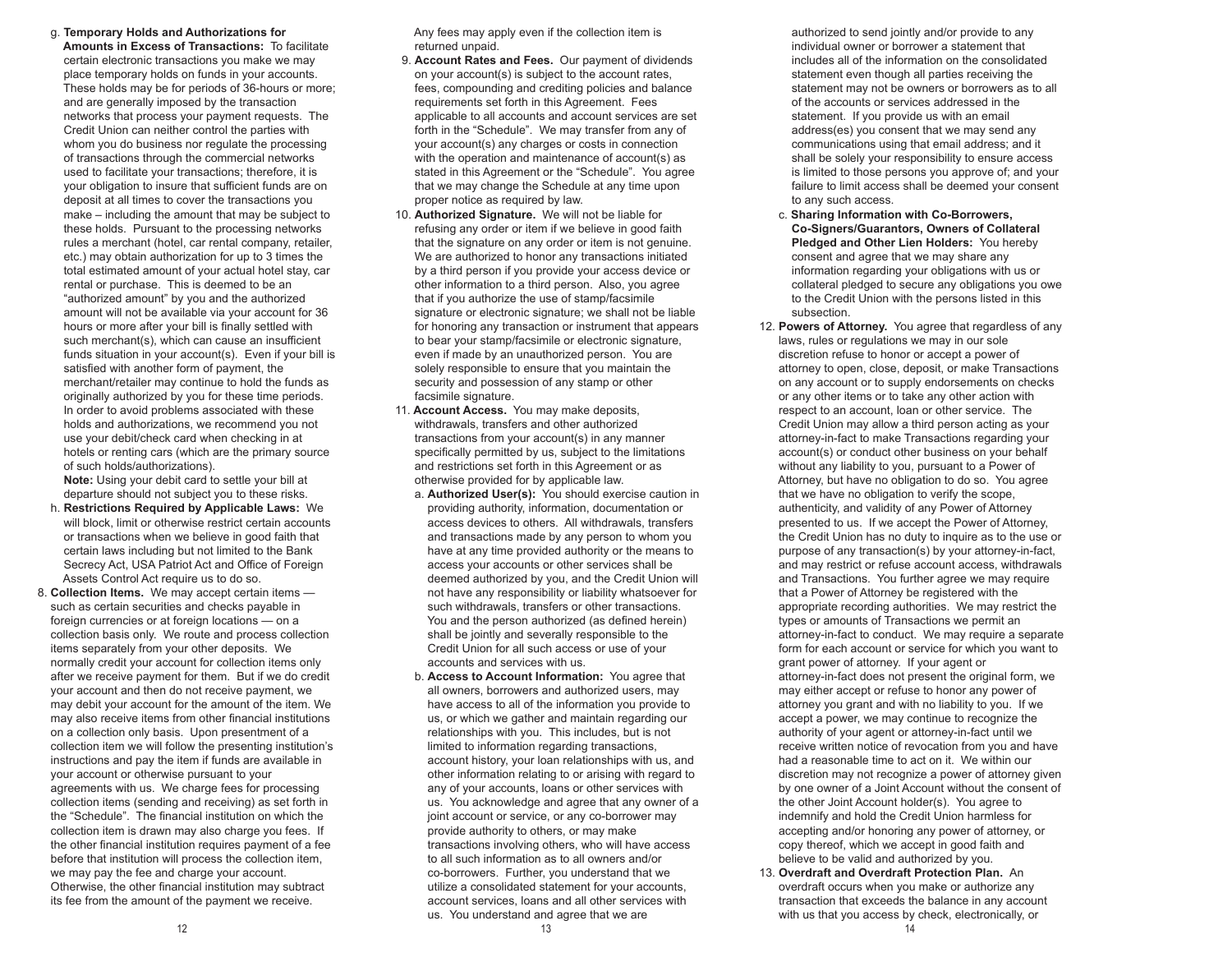g. **Temporary Holds and Authorizations for Amounts in Excess of Transactions:** To facilitate certain electronic transactions you make we may place temporary holds on funds in your accounts. These holds may be for periods of 36-hours or more; and are generally imposed by the transaction networks that process your payment requests. The Credit Union can neither control the parties with whom you do business nor regulate the processing of transactions through the commercial networks used to facilitate your transactions; therefore, it is your obligation to insure that sufficient funds are on deposit at all times to cover the transactions you make – including the amount that may be subject to these holds. Pursuant to the processing networks rules a merchant (hotel, car rental company, retailer, etc.) may obtain authorization for up to 3 times the total estimated amount of your actual hotel stay, car rental or purchase. This is deemed to be an "authorized amount" by you and the authorized amount will not be available via your account for 36 hours or more after your bill is finally settled with such merchant(s), which can cause an insufficient funds situation in your account(s). Even if your bill is satisfied with another form of payment, the merchant/retailer may continue to hold the funds as originally authorized by you for these time periods. In order to avoid problems associated with these holds and authorizations, we recommend you not use your debit/check card when checking in at hotels or renting cars (which are the primary source of such holds/authorizations).

 **Note:** Using your debit card to settle your bill at departure should not subject you to these risks.

- h. **Restrictions Required by Applicable Laws:** We will block, limit or otherwise restrict certain accounts or transactions when we believe in good faith that certain laws including but not limited to the Bank Secrecy Act, USA Patriot Act and Office of Foreign Assets Control Act require us to do so.
- 8. **Collection Items.** We may accept certain items such as certain securities and checks payable in foreign currencies or at foreign locations — on a collection basis only. We route and process collection items separately from your other deposits. We normally credit your account for collection items only after we receive payment for them. But if we do credit your account and then do not receive payment, we may debit your account for the amount of the item. We may also receive items from other financial institutions on a collection only basis. Upon presentment of a collection item we will follow the presenting institution's instructions and pay the item if funds are available in your account or otherwise pursuant to your agreements with us. We charge fees for processing collection items (sending and receiving) as set forth in the "Schedule". The financial institution on which the collection item is drawn may also charge you fees. If the other financial institution requires payment of a fee before that institution will process the collection item, we may pay the fee and charge your account. Otherwise, the other financial institution may subtract its fee from the amount of the payment we receive.

 Any fees may apply even if the collection item is returned unpaid.

- 9. **Account Rates and Fees.** Our payment of dividends on your account(s) is subject to the account rates, fees, compounding and crediting policies and balance requirements set forth in this Agreement. Fees applicable to all accounts and account services are set forth in the "Schedule". We may transfer from any of your account(s) any charges or costs in connection with the operation and maintenance of account(s) as stated in this Agreement or the "Schedule". You agree that we may change the Schedule at any time upon proper notice as required by law.
- 10. **Authorized Signature.** We will not be liable for refusing any order or item if we believe in good faith that the signature on any order or item is not genuine. We are authorized to honor any transactions initiated by a third person if you provide your access device or other information to a third person. Also, you agree that if you authorize the use of stamp/facsimile signature or electronic signature; we shall not be liable for honoring any transaction or instrument that appears to bear your stamp/facsimile or electronic signature, even if made by an unauthorized person. You are solely responsible to ensure that you maintain the security and possession of any stamp or other facsimile signature.
- 11. **Account Access.** You may make deposits, withdrawals, transfers and other authorized transactions from your account(s) in any manner specifically permitted by us, subject to the limitations and restrictions set forth in this Agreement or as otherwise provided for by applicable law.
	- a. **Authorized User(s):** You should exercise caution in providing authority, information, documentation or access devices to others. All withdrawals, transfers and transactions made by any person to whom you have at any time provided authority or the means to access your accounts or other services shall be deemed authorized by you, and the Credit Union will not have any responsibility or liability whatsoever for such withdrawals, transfers or other transactions. You and the person authorized (as defined herein) shall be jointly and severally responsible to the Credit Union for all such access or use of your accounts and services with us.
	- b. **Access to Account Information:** You agree that all owners, borrowers and authorized users, may have access to all of the information you provide to us, or which we gather and maintain regarding our relationships with you. This includes, but is not limited to information regarding transactions, account history, your loan relationships with us, and other information relating to or arising with regard to any of your accounts, loans or other services with us. You acknowledge and agree that any owner of a joint account or service, or any co-borrower may provide authority to others, or may make transactions involving others, who will have access to all such information as to all owners and/or co-borrowers. Further, you understand that we utilize a consolidated statement for your accounts, account services, loans and all other services with us. You understand and agree that we are

 authorized to send jointly and/or provide to any individual owner or borrower a statement that includes all of the information on the consolidated statement even though all parties receiving the statement may not be owners or borrowers as to all of the accounts or services addressed in the statement. If you provide us with an email address(es) you consent that we may send any communications using that email address; and it shall be solely your responsibility to ensure access is limited to those persons you approve of; and your failure to limit access shall be deemed your consent to any such access.

- c. **Sharing Information with Co-Borrowers, Co-Signers/Guarantors, Owners of Collateral Pledged and Other Lien Holders:** You hereby consent and agree that we may share any information regarding your obligations with us or collateral pledged to secure any obligations you owe to the Credit Union with the persons listed in this subsection.
- 12. **Powers of Attorney.** You agree that regardless of any laws, rules or regulations we may in our sole discretion refuse to honor or accept a power of attorney to open, close, deposit, or make Transactions on any account or to supply endorsements on checks or any other items or to take any other action with respect to an account, loan or other service. The Credit Union may allow a third person acting as your attorney-in-fact to make Transactions regarding your account(s) or conduct other business on your behalf without any liability to you, pursuant to a Power of Attorney, but have no obligation to do so. You agree that we have no obligation to verify the scope, authenticity, and validity of any Power of Attorney presented to us. If we accept the Power of Attorney, the Credit Union has no duty to inquire as to the use or purpose of any transaction(s) by your attorney-in-fact, and may restrict or refuse account access, withdrawals and Transactions. You further agree we may require that a Power of Attorney be registered with the appropriate recording authorities. We may restrict the types or amounts of Transactions we permit an attorney-in-fact to conduct. We may require a separate form for each account or service for which you want to grant power of attorney. If your agent or attorney-in-fact does not present the original form, we may either accept or refuse to honor any power of attorney you grant and with no liability to you. If we accept a power, we may continue to recognize the authority of your agent or attorney-in-fact until we receive written notice of revocation from you and have had a reasonable time to act on it. We within our discretion may not recognize a power of attorney given by one owner of a Joint Account without the consent of the other Joint Account holder(s). You agree to indemnify and hold the Credit Union harmless for accepting and/or honoring any power of attorney, or copy thereof, which we accept in good faith and believe to be valid and authorized by you.
- 13. **Overdraft and Overdraft Protection Plan.** An overdraft occurs when you make or authorize any transaction that exceeds the balance in any account with us that you access by check, electronically, or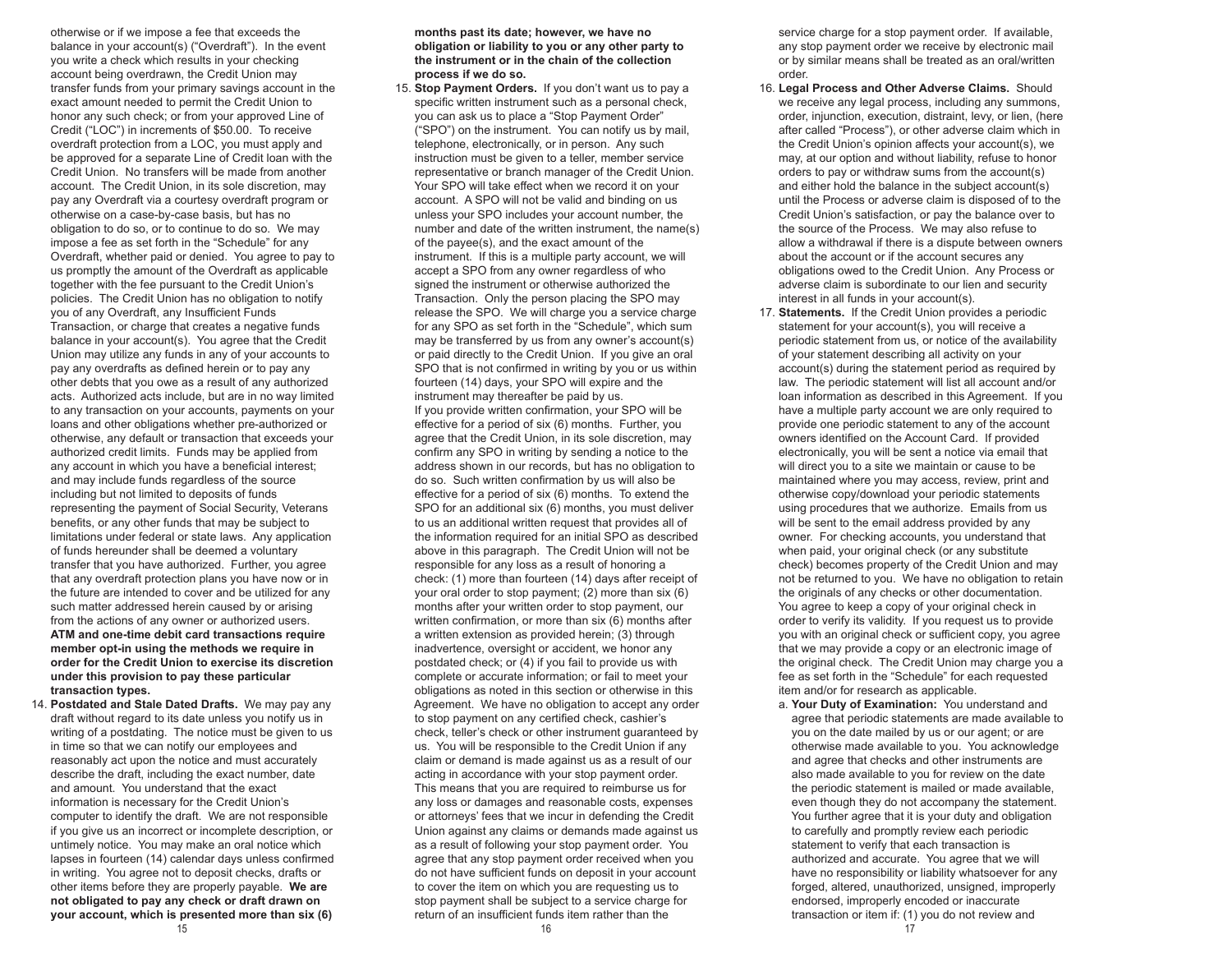otherwise or if we impose a fee that exceeds the balance in your account(s) ("Overdraft"). In the event you write a check which results in your checking account being overdrawn, the Credit Union may transfer funds from your primary savings account in the exact amount needed to permit the Credit Union to honor any such check; or from your approved Line of Credit ("LOC") in increments of \$50.00. To receive overdraft protection from a LOC, you must apply and be approved for a separate Line of Credit loan with the Credit Union. No transfers will be made from another account. The Credit Union, in its sole discretion, may pay any Overdraft via a courtesy overdraft program or otherwise on a case-by-case basis, but has no obligation to do so, or to continue to do so. We may impose a fee as set forth in the "Schedule" for any Overdraft, whether paid or denied. You agree to pay to us promptly the amount of the Overdraft as applicable together with the fee pursuant to the Credit Union's policies. The Credit Union has no obligation to notify you of any Overdraft, any Insufficient Funds Transaction, or charge that creates a negative funds balance in your account(s). You agree that the Credit Union may utilize any funds in any of your accounts to pay any overdrafts as defined herein or to pay any other debts that you owe as a result of any authorized acts. Authorized acts include, but are in no way limited to any transaction on your accounts, payments on your loans and other obligations whether pre-authorized or otherwise, any default or transaction that exceeds your authorized credit limits. Funds may be applied from any account in which you have a beneficial interest; and may include funds regardless of the source including but not limited to deposits of funds representing the payment of Social Security, Veterans benefits, or any other funds that may be subject to limitations under federal or state laws. Any application of funds hereunder shall be deemed a voluntary transfer that you have authorized. Further, you agree that any overdraft protection plans you have now or in the future are intended to cover and be utilized for any such matter addressed herein caused by or arising from the actions of any owner or authorized users. **ATM and one-time debit card transactions require member opt-in using the methods we require in order for the Credit Union to exercise its discretion under this provision to pay these particular transaction types.** 

 14. **Postdated and Stale Dated Drafts.** We may pay any draft without regard to its date unless you notify us in writing of a postdating. The notice must be given to us in time so that we can notify our employees and reasonably act upon the notice and must accurately describe the draft, including the exact number, date and amount. You understand that the exact information is necessary for the Credit Union's computer to identify the draft. We are not responsible if you give us an incorrect or incomplete description, or untimely notice. You may make an oral notice which lapses in fourteen (14) calendar days unless confirmed in writing. You agree not to deposit checks, drafts or other items before they are properly payable. **We are not obligated to pay any check or draft drawn on your account, which is presented more than six (6)** 

 **months past its date; however, we have no obligation or liability to you or any other party to the instrument or in the chain of the collection process if we do so.** 

 15. **Stop Payment Orders.** If you don't want us to pay a specific written instrument such as a personal check, you can ask us to place a "Stop Payment Order" ("SPO") on the instrument. You can notify us by mail, telephone, electronically, or in person. Any such instruction must be given to a teller, member service representative or branch manager of the Credit Union. Your SPO will take effect when we record it on your account. A SPO will not be valid and binding on us unless your SPO includes your account number, the number and date of the written instrument, the name(s) of the payee(s), and the exact amount of the instrument. If this is a multiple party account, we will accept a SPO from any owner regardless of who signed the instrument or otherwise authorized the Transaction. Only the person placing the SPO may release the SPO. We will charge you a service charge for any SPO as set forth in the "Schedule", which sum may be transferred by us from any owner's account(s) or paid directly to the Credit Union. If you give an oral SPO that is not confirmed in writing by you or us within fourteen (14) days, your SPO will expire and the instrument may thereafter be paid by us. If you provide written confirmation, your SPO will be effective for a period of six (6) months. Further, you agree that the Credit Union, in its sole discretion, may confirm any SPO in writing by sending a notice to the address shown in our records, but has no obligation to do so. Such written confirmation by us will also be effective for a period of six (6) months. To extend the SPO for an additional six (6) months, you must deliver to us an additional written request that provides all of the information required for an initial SPO as described above in this paragraph. The Credit Union will not be responsible for any loss as a result of honoring a check: (1) more than fourteen (14) days after receipt of your oral order to stop payment; (2) more than six (6) months after your written order to stop payment, our written confirmation, or more than six (6) months after a written extension as provided herein; (3) through inadvertence, oversight or accident, we honor any postdated check; or (4) if you fail to provide us with complete or accurate information; or fail to meet your obligations as noted in this section or otherwise in this Agreement. We have no obligation to accept any order to stop payment on any certified check, cashier's check, teller's check or other instrument guaranteed by us. You will be responsible to the Credit Union if any claim or demand is made against us as a result of our acting in accordance with your stop payment order. This means that you are required to reimburse us for any loss or damages and reasonable costs, expenses or attorneys' fees that we incur in defending the Credit Union against any claims or demands made against us as a result of following your stop payment order. You agree that any stop payment order received when you do not have sufficient funds on deposit in your account to cover the item on which you are requesting us to stop payment shall be subject to a service charge for return of an insufficient funds item rather than the

service charge for a stop payment order. If available, any stop payment order we receive by electronic mail or by similar means shall be treated as an oral/written order.

- 16. **Legal Process and Other Adverse Claims.** Should we receive any legal process, including any summons, order, injunction, execution, distraint, levy, or lien, (here after called "Process"), or other adverse claim which in the Credit Union's opinion affects your account(s), we may, at our option and without liability, refuse to honor orders to pay or withdraw sums from the account(s) and either hold the balance in the subject account(s) until the Process or adverse claim is disposed of to the Credit Union's satisfaction, or pay the balance over to the source of the Process. We may also refuse to allow a withdrawal if there is a dispute between owners about the account or if the account secures any obligations owed to the Credit Union. Any Process or adverse claim is subordinate to our lien and security interest in all funds in your account(s).
- 17. **Statements.** If the Credit Union provides a periodic statement for your account(s), you will receive a periodic statement from us, or notice of the availability of your statement describing all activity on your account(s) during the statement period as required by law. The periodic statement will list all account and/or loan information as described in this Agreement. If you have a multiple party account we are only required to provide one periodic statement to any of the account owners identified on the Account Card. If provided electronically, you will be sent a notice via email that will direct you to a site we maintain or cause to be maintained where you may access, review, print and otherwise copy/download your periodic statements using procedures that we authorize. Emails from us will be sent to the email address provided by any owner. For checking accounts, you understand that when paid, your original check (or any substitute check) becomes property of the Credit Union and may not be returned to you. We have no obligation to retain the originals of any checks or other documentation. You agree to keep a copy of your original check in order to verify its validity. If you request us to provide you with an original check or sufficient copy, you agree that we may provide a copy or an electronic image of the original check. The Credit Union may charge you a fee as set forth in the "Schedule" for each requested item and/or for research as applicable.
	- a. **Your Duty of Examination:** You understand and agree that periodic statements are made available to you on the date mailed by us or our agent; or are otherwise made available to you. You acknowledge and agree that checks and other instruments are also made available to you for review on the date the periodic statement is mailed or made available, even though they do not accompany the statement. You further agree that it is your duty and obligation to carefully and promptly review each periodic statement to verify that each transaction is authorized and accurate. You agree that we will have no responsibility or liability whatsoever for any forged, altered, unauthorized, unsigned, improperly endorsed, improperly encoded or inaccurate transaction or item if: (1) you do not review and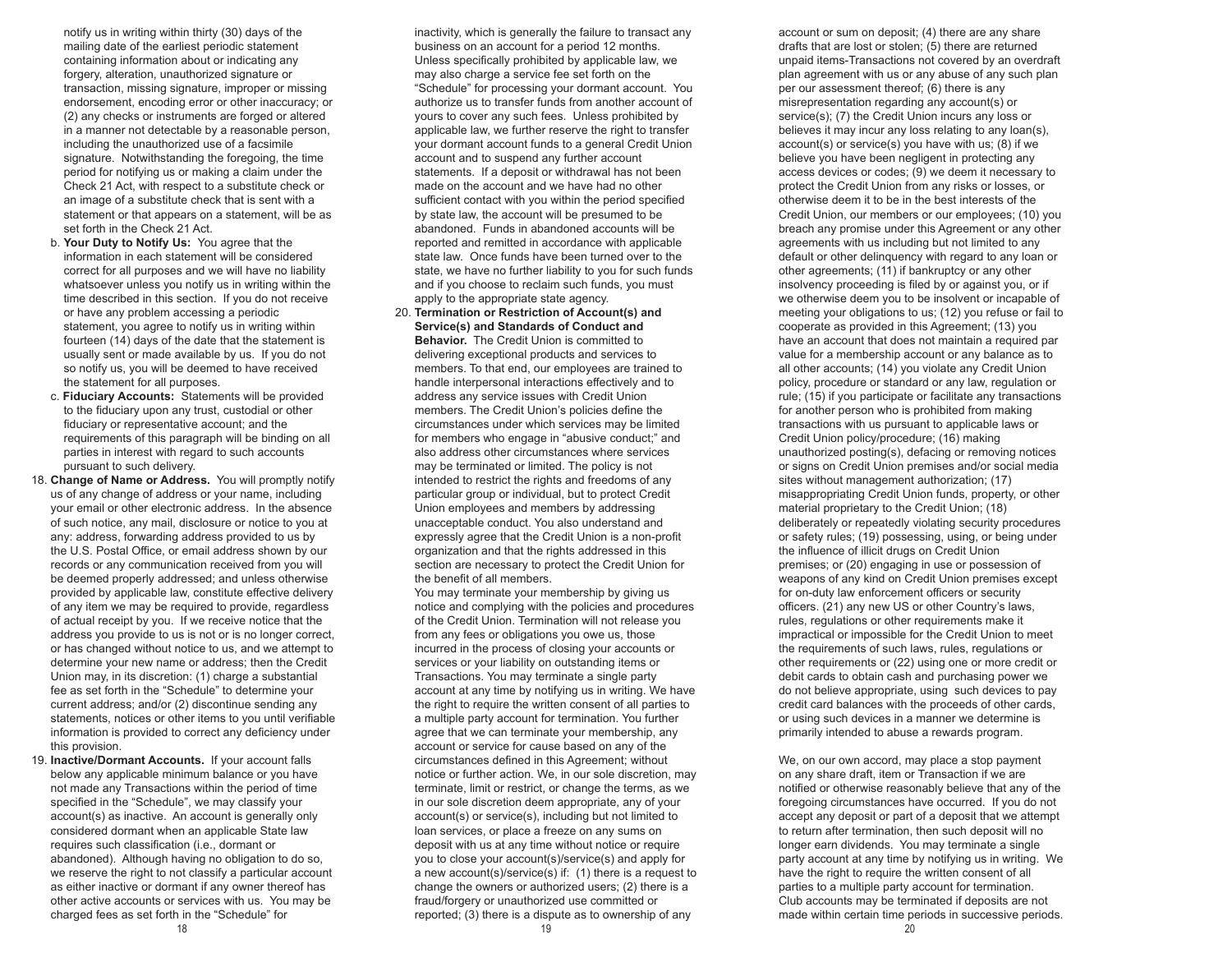notify us in writing within thirty (30) days of the mailing date of the earliest periodic statement containing information about or indicating any forgery, alteration, unauthorized signature or transaction, missing signature, improper or missing endorsement, encoding error or other inaccuracy; or (2) any checks or instruments are forged or altered in a manner not detectable by a reasonable person, including the unauthorized use of a facsimile signature. Notwithstanding the foregoing, the time period for notifying us or making a claim under the Check 21 Act, with respect to a substitute check or an image of a substitute check that is sent with a statement or that appears on a statement, will be as set forth in the Check 21 Act.

- b. **Your Duty to Notify Us:** You agree that the information in each statement will be considered correct for all purposes and we will have no liability whatsoever unless you notify us in writing within the time described in this section. If you do not receive or have any problem accessing a periodic statement, you agree to notify us in writing within fourteen (14) days of the date that the statement is usually sent or made available by us. If you do not so notify us, you will be deemed to have received the statement for all purposes.
- c. **Fiduciary Accounts:** Statements will be provided to the fiduciary upon any trust, custodial or other fiduciary or representative account; and the requirements of this paragraph will be binding on all parties in interest with regard to such accounts pursuant to such delivery.
- 18. **Change of Name or Address.** You will promptly notify us of any change of address or your name, including your email or other electronic address. In the absence of such notice, any mail, disclosure or notice to you at any: address, forwarding address provided to us by the U.S. Postal Office, or email address shown by our records or any communication received from you will be deemed properly addressed; and unless otherwise provided by applicable law, constitute effective delivery of any item we may be required to provide, regardless of actual receipt by you. If we receive notice that the address you provide to us is not or is no longer correct, or has changed without notice to us, and we attempt to determine your new name or address; then the Credit Union may, in its discretion: (1) charge a substantial fee as set forth in the "Schedule" to determine your current address; and/or (2) discontinue sending any statements, notices or other items to you until verifiable information is provided to correct any deficiency under this provision.
- 19. **Inactive/Dormant Accounts.** If your account falls below any applicable minimum balance or you have not made any Transactions within the period of time specified in the "Schedule", we may classify your account(s) as inactive. An account is generally only considered dormant when an applicable State law requires such classification (i.e., dormant or abandoned). Although having no obligation to do so, we reserve the right to not classify a particular account as either inactive or dormant if any owner thereof has other active accounts or services with us. You may be charged fees as set forth in the "Schedule" for

 inactivity, which is generally the failure to transact any business on an account for a period 12 months. Unless specifically prohibited by applicable law, we may also charge a service fee set forth on the "Schedule" for processing your dormant account. You authorize us to transfer funds from another account of yours to cover any such fees. Unless prohibited by applicable law, we further reserve the right to transfer your dormant account funds to a general Credit Union account and to suspend any further account statements. If a deposit or withdrawal has not been made on the account and we have had no other sufficient contact with you within the period specified by state law, the account will be presumed to be abandoned. Funds in abandoned accounts will be reported and remitted in accordance with applicable state law. Once funds have been turned over to the state, we have no further liability to you for such funds and if you choose to reclaim such funds, you must apply to the appropriate state agency.

 20. **Termination or Restriction of Account(s) and Service(s) and Standards of Conduct and Behavior.** The Credit Union is committed to delivering exceptional products and services to members. To that end, our employees are trained to handle interpersonal interactions effectively and to address any service issues with Credit Union members. The Credit Union's policies define the circumstances under which services may be limited for members who engage in "abusive conduct;" and also address other circumstances where services may be terminated or limited. The policy is not intended to restrict the rights and freedoms of any particular group or individual, but to protect Credit Union employees and members by addressing unacceptable conduct. You also understand and expressly agree that the Credit Union is a non-profit organization and that the rights addressed in this section are necessary to protect the Credit Union for the benefit of all members.

 You may terminate your membership by giving us notice and complying with the policies and procedures of the Credit Union. Termination will not release you from any fees or obligations you owe us, those incurred in the process of closing your accounts or services or your liability on outstanding items or Transactions. You may terminate a single party account at any time by notifying us in writing. We have the right to require the written consent of all parties to a multiple party account for termination. You further agree that we can terminate your membership, any account or service for cause based on any of the circumstances defined in this Agreement; without notice or further action. We, in our sole discretion, may terminate, limit or restrict, or change the terms, as we in our sole discretion deem appropriate, any of your account(s) or service(s), including but not limited to loan services, or place a freeze on any sums on deposit with us at any time without notice or require you to close your account(s)/service(s) and apply for a new account(s)/service(s) if: (1) there is a request to change the owners or authorized users; (2) there is a fraud/forgery or unauthorized use committed or reported; (3) there is a dispute as to ownership of any

 account or sum on deposit; (4) there are any share drafts that are lost or stolen; (5) there are returned unpaid items-Transactions not covered by an overdraft plan agreement with us or any abuse of any such plan per our assessment thereof; (6) there is any misrepresentation regarding any account(s) or service(s); (7) the Credit Union incurs any loss or believes it may incur any loss relating to any loan(s), account(s) or service(s) you have with us; (8) if we believe you have been negligent in protecting any access devices or codes; (9) we deem it necessary to protect the Credit Union from any risks or losses, or otherwise deem it to be in the best interests of the Credit Union, our members or our employees; (10) you breach any promise under this Agreement or any other agreements with us including but not limited to any default or other delinquency with regard to any loan or other agreements; (11) if bankruptcy or any other insolvency proceeding is filed by or against you, or if we otherwise deem you to be insolvent or incapable of meeting your obligations to us; (12) you refuse or fail to cooperate as provided in this Agreement; (13) you have an account that does not maintain a required par value for a membership account or any balance as to all other accounts; (14) you violate any Credit Union policy, procedure or standard or any law, regulation or rule; (15) if you participate or facilitate any transactions for another person who is prohibited from making transactions with us pursuant to applicable laws or Credit Union policy/procedure; (16) making unauthorized posting(s), defacing or removing notices or signs on Credit Union premises and/or social media sites without management authorization; (17) misappropriating Credit Union funds, property, or other material proprietary to the Credit Union; (18) deliberately or repeatedly violating security procedures or safety rules; (19) possessing, using, or being under the influence of illicit drugs on Credit Union premises; or (20) engaging in use or possession of weapons of any kind on Credit Union premises except for on-duty law enforcement officers or security officers. (21) any new US or other Country's laws, rules, regulations or other requirements make it impractical or impossible for the Credit Union to meet the requirements of such laws, rules, regulations or other requirements or (22) using one or more credit or debit cards to obtain cash and purchasing power we do not believe appropriate, using such devices to pay credit card balances with the proceeds of other cards, or using such devices in a manner we determine is primarily intended to abuse a rewards program.

 We, on our own accord, may place a stop payment on any share draft, item or Transaction if we are notified or otherwise reasonably believe that any of the foregoing circumstances have occurred. If you do not accept any deposit or part of a deposit that we attempt to return after termination, then such deposit will no longer earn dividends. You may terminate a single party account at any time by notifying us in writing. We have the right to require the written consent of all parties to a multiple party account for termination. Club accounts may be terminated if deposits are not made within certain time periods in successive periods.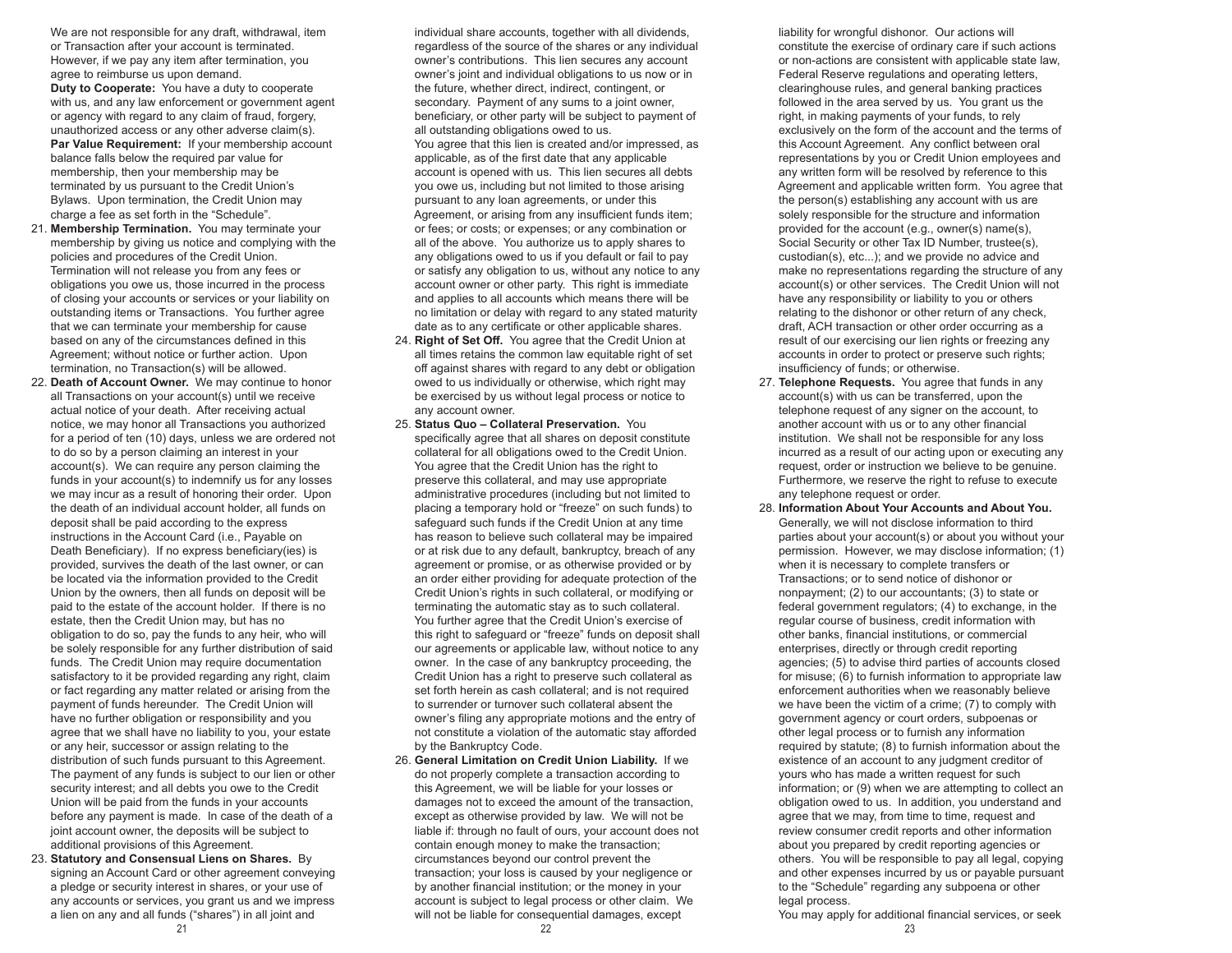We are not responsible for any draft, withdrawal, item or Transaction after your account is terminated. However, if we pay any item after termination, you agree to reimburse us upon demand. **Duty to Cooperate:** You have a duty to cooperate

 with us, and any law enforcement or government agent or agency with regard to any claim of fraud, forgery, unauthorized access or any other adverse claim(s). Par Value Requirement: If your membership account balance falls below the required par value for membership, then your membership may be terminated by us pursuant to the Credit Union's Bylaws. Upon termination, the Credit Union may charge a fee as set forth in the "Schedule".

- 21. **Membership Termination.** You may terminate your membership by giving us notice and complying with the policies and procedures of the Credit Union. Termination will not release you from any fees or obligations you owe us, those incurred in the process of closing your accounts or services or your liability on outstanding items or Transactions. You further agree that we can terminate your membership for cause based on any of the circumstances defined in this Agreement; without notice or further action. Upon termination, no Transaction(s) will be allowed.
- 22. **Death of Account Owner.** We may continue to honor all Transactions on your account(s) until we receive actual notice of your death. After receiving actual notice, we may honor all Transactions you authorized for a period of ten (10) days, unless we are ordered not to do so by a person claiming an interest in your account(s). We can require any person claiming the funds in your account(s) to indemnify us for any losses we may incur as a result of honoring their order. Upon the death of an individual account holder, all funds on deposit shall be paid according to the express instructions in the Account Card (i.e., Payable on Death Beneficiary). If no express beneficiary(ies) is provided, survives the death of the last owner, or can be located via the information provided to the Credit Union by the owners, then all funds on deposit will be paid to the estate of the account holder. If there is no estate, then the Credit Union may, but has no obligation to do so, pay the funds to any heir, who will be solely responsible for any further distribution of said funds. The Credit Union may require documentation satisfactory to it be provided regarding any right, claim or fact regarding any matter related or arising from the payment of funds hereunder. The Credit Union will have no further obligation or responsibility and you agree that we shall have no liability to you, your estate or any heir, successor or assign relating to the distribution of such funds pursuant to this Agreement. The payment of any funds is subject to our lien or other security interest; and all debts you owe to the Credit Union will be paid from the funds in your accounts before any payment is made. In case of the death of a joint account owner, the deposits will be subject to additional provisions of this Agreement.
- 23. **Statutory and Consensual Liens on Shares.** By signing an Account Card or other agreement conveying a pledge or security interest in shares, or your use of any accounts or services, you grant us and we impress a lien on any and all funds ("shares") in all joint and

individual share accounts, together with all dividends. regardless of the source of the shares or any individual owner's contributions. This lien secures any account owner's joint and individual obligations to us now or in the future, whether direct, indirect, contingent, or secondary. Payment of any sums to a joint owner. beneficiary, or other party will be subject to payment of all outstanding obligations owed to us. You agree that this lien is created and/or impressed, as applicable, as of the first date that any applicable account is opened with us. This lien secures all debts you owe us, including but not limited to those arising pursuant to any loan agreements, or under this Agreement, or arising from any insufficient funds item; or fees; or costs; or expenses; or any combination or all of the above. You authorize us to apply shares to any obligations owed to us if you default or fail to pay or satisfy any obligation to us, without any notice to any account owner or other party. This right is immediate and applies to all accounts which means there will be no limitation or delay with regard to any stated maturity date as to any certificate or other applicable shares.

- 24. **Right of Set Off.** You agree that the Credit Union at all times retains the common law equitable right of set off against shares with regard to any debt or obligation owed to us individually or otherwise, which right may be exercised by us without legal process or notice to any account owner.
- 25. **Status Quo Collateral Preservation.** You specifically agree that all shares on deposit constitute collateral for all obligations owed to the Credit Union. You agree that the Credit Union has the right to preserve this collateral, and may use appropriate administrative procedures (including but not limited to placing a temporary hold or "freeze" on such funds) to safeguard such funds if the Credit Union at any time has reason to believe such collateral may be impaired or at risk due to any default, bankruptcy, breach of any agreement or promise, or as otherwise provided or by an order either providing for adequate protection of the Credit Union's rights in such collateral, or modifying or terminating the automatic stay as to such collateral. You further agree that the Credit Union's exercise of this right to safeguard or "freeze" funds on deposit shall our agreements or applicable law, without notice to any owner. In the case of any bankruptcy proceeding, the Credit Union has a right to preserve such collateral as set forth herein as cash collateral; and is not required to surrender or turnover such collateral absent the owner's filing any appropriate motions and the entry of not constitute a violation of the automatic stay afforded by the Bankruptcy Code.
- 26. **General Limitation on Credit Union Liability.** If we do not properly complete a transaction according to this Agreement, we will be liable for your losses or damages not to exceed the amount of the transaction, except as otherwise provided by law. We will not be liable if: through no fault of ours, your account does not contain enough money to make the transaction; circumstances beyond our control prevent the transaction; your loss is caused by your negligence or by another financial institution; or the money in your account is subject to legal process or other claim. We will not be liable for consequential damages, except

 liability for wrongful dishonor. Our actions will constitute the exercise of ordinary care if such actions or non-actions are consistent with applicable state law, Federal Reserve regulations and operating letters, clearinghouse rules, and general banking practices followed in the area served by us. You grant us the right, in making payments of your funds, to rely exclusively on the form of the account and the terms of this Account Agreement. Any conflict between oral representations by you or Credit Union employees and any written form will be resolved by reference to this Agreement and applicable written form. You agree that the person(s) establishing any account with us are solely responsible for the structure and information provided for the account (e.g., owner(s) name(s), Social Security or other Tax ID Number, trustee(s), custodian(s), etc...); and we provide no advice and make no representations regarding the structure of any account(s) or other services. The Credit Union will not have any responsibility or liability to you or others relating to the dishonor or other return of any check, draft, ACH transaction or other order occurring as a result of our exercising our lien rights or freezing any accounts in order to protect or preserve such rights; insufficiency of funds; or otherwise.

- 27. **Telephone Requests.** You agree that funds in any account(s) with us can be transferred, upon the telephone request of any signer on the account, to another account with us or to any other financial institution. We shall not be responsible for any loss incurred as a result of our acting upon or executing any request, order or instruction we believe to be genuine. Furthermore, we reserve the right to refuse to execute any telephone request or order.
- 28. **Information About Your Accounts and About You.**  Generally, we will not disclose information to third parties about your account(s) or about you without your permission. However, we may disclose information; (1) when it is necessary to complete transfers or Transactions; or to send notice of dishonor or nonpayment; (2) to our accountants; (3) to state or federal government regulators; (4) to exchange, in the regular course of business, credit information with other banks, financial institutions, or commercial enterprises, directly or through credit reporting agencies; (5) to advise third parties of accounts closed for misuse; (6) to furnish information to appropriate law enforcement authorities when we reasonably believe we have been the victim of a crime; (7) to comply with government agency or court orders, subpoenas or other legal process or to furnish any information required by statute; (8) to furnish information about the existence of an account to any judgment creditor of yours who has made a written request for such information; or (9) when we are attempting to collect an obligation owed to us. In addition, you understand and agree that we may, from time to time, request and review consumer credit reports and other information about you prepared by credit reporting agencies or others. You will be responsible to pay all legal, copying and other expenses incurred by us or payable pursuant to the "Schedule" regarding any subpoena or other legal process.

You may apply for additional financial services, or seek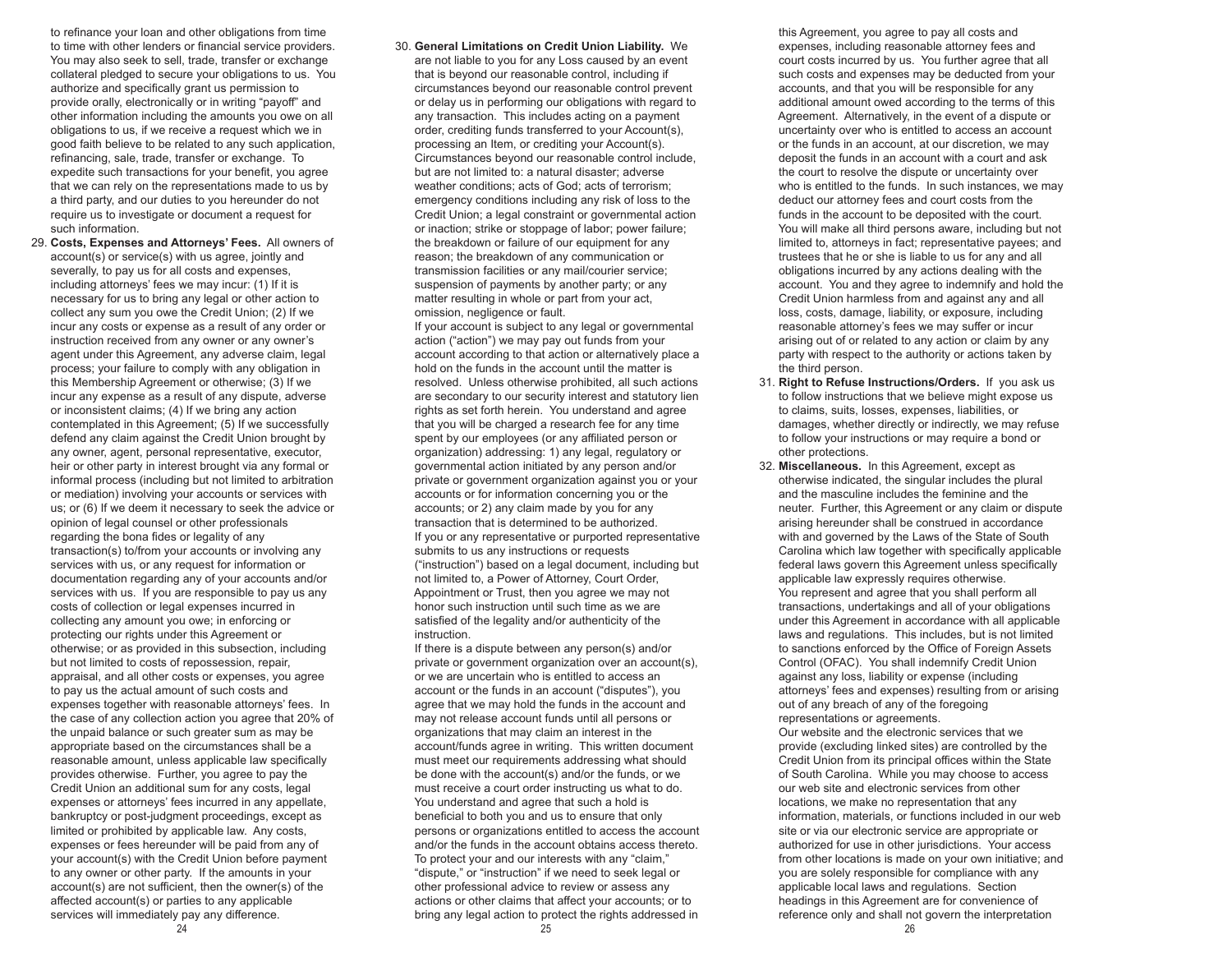to refinance your loan and other obligations from time to time with other lenders or financial service providers. You may also seek to sell, trade, transfer or exchange collateral pledged to secure your obligations to us. You authorize and specifically grant us permission to provide orally, electronically or in writing "payoff" and other information including the amounts you owe on all obligations to us, if we receive a request which we in good faith believe to be related to any such application, refinancing, sale, trade, transfer or exchange. To expedite such transactions for your benefit, you agree that we can rely on the representations made to us by a third party, and our duties to you hereunder do not require us to investigate or document a request for such information.

- 29. **Costs, Expenses and Attorneys' Fees.** All owners of account(s) or service(s) with us agree, jointly and severally, to pay us for all costs and expenses, including attorneys' fees we may incur: (1) If it is necessary for us to bring any legal or other action to collect any sum you owe the Credit Union; (2) If we incur any costs or expense as a result of any order or instruction received from any owner or any owner's agent under this Agreement, any adverse claim, legal process; your failure to comply with any obligation in this Membership Agreement or otherwise; (3) If we incur any expense as a result of any dispute, adverse or inconsistent claims; (4) If we bring any action contemplated in this Agreement; (5) If we successfully defend any claim against the Credit Union brought by any owner, agent, personal representative, executor, heir or other party in interest brought via any formal or informal process (including but not limited to arbitration or mediation) involving your accounts or services with us; or (6) If we deem it necessary to seek the advice or opinion of legal counsel or other professionals regarding the bona fides or legality of any transaction(s) to/from your accounts or involving any services with us, or any request for information or documentation regarding any of your accounts and/or services with us. If you are responsible to pay us any costs of collection or legal expenses incurred in collecting any amount you owe; in enforcing or protecting our rights under this Agreement or otherwise; or as provided in this subsection, including but not limited to costs of repossession, repair, appraisal, and all other costs or expenses, you agree to pay us the actual amount of such costs and expenses together with reasonable attorneys' fees. In the case of any collection action you agree that 20% of the unpaid balance or such greater sum as may be appropriate based on the circumstances shall be a reasonable amount, unless applicable law specifically provides otherwise. Further, you agree to pay the Credit Union an additional sum for any costs, legal expenses or attorneys' fees incurred in any appellate, bankruptcy or post-judgment proceedings, except as limited or prohibited by applicable law. Any costs, expenses or fees hereunder will be paid from any of your account(s) with the Credit Union before payment to any owner or other party. If the amounts in your account(s) are not sufficient, then the owner(s) of the affected account(s) or parties to any applicable services will immediately pay any difference.
- 30. **General Limitations on Credit Union Liability.** We are not liable to you for any Loss caused by an event that is beyond our reasonable control, including if circumstances beyond our reasonable control prevent or delay us in performing our obligations with regard to any transaction. This includes acting on a payment order, crediting funds transferred to your Account(s), processing an Item, or crediting your Account(s). Circumstances beyond our reasonable control include, but are not limited to: a natural disaster; adverse weather conditions; acts of God; acts of terrorism; emergency conditions including any risk of loss to the Credit Union; a legal constraint or governmental action or inaction; strike or stoppage of labor; power failure; the breakdown or failure of our equipment for any reason; the breakdown of any communication or transmission facilities or any mail/courier service; suspension of payments by another party; or any matter resulting in whole or part from your act, omission, negligence or fault. If your account is subject to any legal or governmental action ("action") we may pay out funds from your account according to that action or alternatively place a hold on the funds in the account until the matter is resolved. Unless otherwise prohibited, all such actions are secondary to our security interest and statutory lien rights as set forth herein. You understand and agree that you will be charged a research fee for any time

 spent by our employees (or any affiliated person or organization) addressing: 1) any legal, regulatory or governmental action initiated by any person and/or private or government organization against you or your accounts or for information concerning you or the accounts; or 2) any claim made by you for any transaction that is determined to be authorized. If you or any representative or purported representative submits to us any instructions or requests ("instruction") based on a legal document, including but not limited to, a Power of Attorney, Court Order, Appointment or Trust, then you agree we may not honor such instruction until such time as we are satisfied of the legality and/or authenticity of the instruction.

 If there is a dispute between any person(s) and/or private or government organization over an account(s), or we are uncertain who is entitled to access an account or the funds in an account ("disputes"), you agree that we may hold the funds in the account and may not release account funds until all persons or organizations that may claim an interest in the account/funds agree in writing. This written document must meet our requirements addressing what should be done with the account(s) and/or the funds, or we must receive a court order instructing us what to do. You understand and agree that such a hold is beneficial to both you and us to ensure that only persons or organizations entitled to access the account and/or the funds in the account obtains access thereto. To protect your and our interests with any "claim," "dispute," or "instruction" if we need to seek legal or other professional advice to review or assess any actions or other claims that affect your accounts; or to bring any legal action to protect the rights addressed in

 this Agreement, you agree to pay all costs and expenses, including reasonable attorney fees and court costs incurred by us. You further agree that all such costs and expenses may be deducted from your accounts, and that you will be responsible for any additional amount owed according to the terms of this Agreement. Alternatively, in the event of a dispute or uncertainty over who is entitled to access an account or the funds in an account, at our discretion, we may deposit the funds in an account with a court and ask the court to resolve the dispute or uncertainty over who is entitled to the funds. In such instances, we may deduct our attorney fees and court costs from the funds in the account to be deposited with the court. You will make all third persons aware, including but not limited to, attorneys in fact; representative payees; and trustees that he or she is liable to us for any and all obligations incurred by any actions dealing with the account. You and they agree to indemnify and hold the Credit Union harmless from and against any and all loss, costs, damage, liability, or exposure, including reasonable attorney's fees we may suffer or incur arising out of or related to any action or claim by any party with respect to the authority or actions taken by the third person.

- 31. **Right to Refuse Instructions/Orders.** If you ask us to follow instructions that we believe might expose us to claims, suits, losses, expenses, liabilities, or damages, whether directly or indirectly, we may refuse to follow your instructions or may require a bond or other protections.
- 32. **Miscellaneous.** In this Agreement, except as otherwise indicated, the singular includes the plural and the masculine includes the feminine and the neuter. Further, this Agreement or any claim or dispute arising hereunder shall be construed in accordance with and governed by the Laws of the State of South Carolina which law together with specifically applicable federal laws govern this Agreement unless specifically applicable law expressly requires otherwise. You represent and agree that you shall perform all transactions, undertakings and all of your obligations under this Agreement in accordance with all applicable laws and regulations. This includes, but is not limited to sanctions enforced by the Office of Foreign Assets Control (OFAC). You shall indemnify Credit Union against any loss, liability or expense (including attorneys' fees and expenses) resulting from or arising out of any breach of any of the foregoing representations or agreements.

 Our website and the electronic services that we provide (excluding linked sites) are controlled by the Credit Union from its principal offices within the State of South Carolina. While you may choose to access our web site and electronic services from other locations, we make no representation that any information, materials, or functions included in our web site or via our electronic service are appropriate or authorized for use in other jurisdictions. Your access from other locations is made on your own initiative; and you are solely responsible for compliance with any applicable local laws and regulations. Section headings in this Agreement are for convenience of reference only and shall not govern the interpretation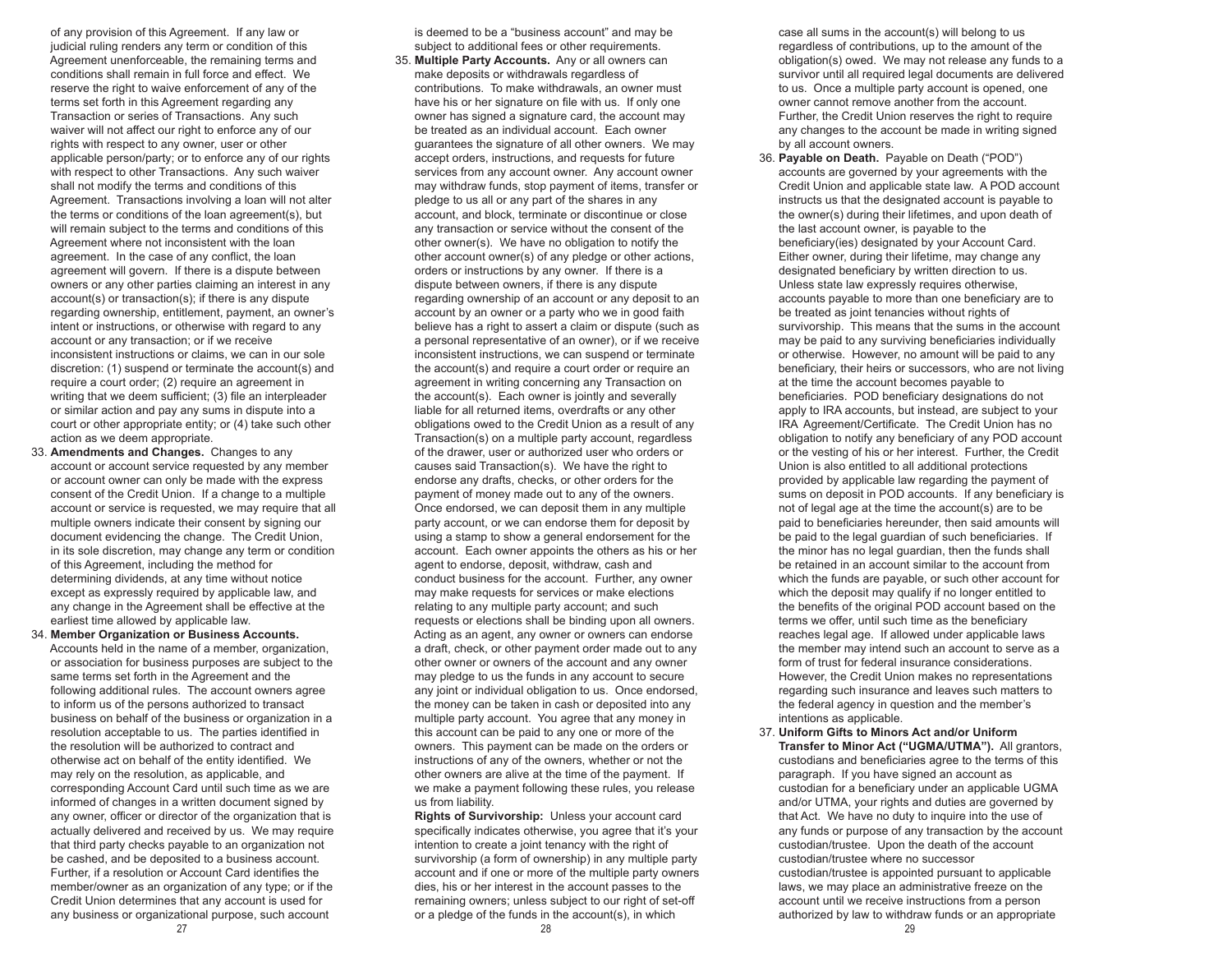of any provision of this Agreement. If any law or judicial ruling renders any term or condition of this Agreement unenforceable, the remaining terms and conditions shall remain in full force and effect. We reserve the right to waive enforcement of any of the terms set forth in this Agreement regarding any Transaction or series of Transactions. Any such waiver will not affect our right to enforce any of our rights with respect to any owner, user or other applicable person/party; or to enforce any of our rights with respect to other Transactions. Any such waiver shall not modify the terms and conditions of this Agreement. Transactions involving a loan will not alter the terms or conditions of the loan agreement(s), but will remain subject to the terms and conditions of this Agreement where not inconsistent with the loan agreement. In the case of any conflict, the loan agreement will govern. If there is a dispute between owners or any other parties claiming an interest in any account(s) or transaction(s); if there is any dispute regarding ownership, entitlement, payment, an owner's intent or instructions, or otherwise with regard to any account or any transaction; or if we receive inconsistent instructions or claims, we can in our sole discretion: (1) suspend or terminate the account(s) and require a court order; (2) require an agreement in writing that we deem sufficient; (3) file an interpleader or similar action and pay any sums in dispute into a court or other appropriate entity; or (4) take such other action as we deem appropriate.

 33. **Amendments and Changes.** Changes to any account or account service requested by any member or account owner can only be made with the express consent of the Credit Union. If a change to a multiple account or service is requested, we may require that all multiple owners indicate their consent by signing our document evidencing the change. The Credit Union, in its sole discretion, may change any term or condition of this Agreement, including the method for determining dividends, at any time without notice except as expressly required by applicable law, and any change in the Agreement shall be effective at the earliest time allowed by applicable law.

 34. **Member Organization or Business Accounts.**  Accounts held in the name of a member, organization, or association for business purposes are subject to the same terms set forth in the Agreement and the following additional rules. The account owners agree to inform us of the persons authorized to transact business on behalf of the business or organization in a resolution acceptable to us. The parties identified in the resolution will be authorized to contract and otherwise act on behalf of the entity identified. We may rely on the resolution, as applicable, and corresponding Account Card until such time as we are informed of changes in a written document signed by any owner, officer or director of the organization that is actually delivered and received by us. We may require that third party checks payable to an organization not be cashed, and be deposited to a business account. Further, if a resolution or Account Card identifies the member/owner as an organization of any type; or if the Credit Union determines that any account is used for any business or organizational purpose, such account

 is deemed to be a "business account" and may be subject to additional fees or other requirements.

 35. **Multiple Party Accounts.** Any or all owners can make deposits or withdrawals regardless of contributions. To make withdrawals, an owner must have his or her signature on file with us. If only one owner has signed a signature card, the account may be treated as an individual account. Each owner guarantees the signature of all other owners. We may accept orders, instructions, and requests for future services from any account owner. Any account owner may withdraw funds, stop payment of items, transfer or pledge to us all or any part of the shares in any account, and block, terminate or discontinue or close any transaction or service without the consent of the other owner(s). We have no obligation to notify the other account owner(s) of any pledge or other actions, orders or instructions by any owner. If there is a dispute between owners, if there is any dispute regarding ownership of an account or any deposit to an account by an owner or a party who we in good faith believe has a right to assert a claim or dispute (such as a personal representative of an owner), or if we receive inconsistent instructions, we can suspend or terminate the account(s) and require a court order or require an agreement in writing concerning any Transaction on the account(s). Each owner is jointly and severally liable for all returned items, overdrafts or any other obligations owed to the Credit Union as a result of any Transaction(s) on a multiple party account, regardless of the drawer, user or authorized user who orders or causes said Transaction(s). We have the right to endorse any drafts, checks, or other orders for the payment of money made out to any of the owners. Once endorsed, we can deposit them in any multiple party account, or we can endorse them for deposit by using a stamp to show a general endorsement for the account. Each owner appoints the others as his or her agent to endorse, deposit, withdraw, cash and conduct business for the account. Further, any owner may make requests for services or make elections relating to any multiple party account; and such requests or elections shall be binding upon all owners. Acting as an agent, any owner or owners can endorse a draft, check, or other payment order made out to any other owner or owners of the account and any owner may pledge to us the funds in any account to secure any joint or individual obligation to us. Once endorsed, the money can be taken in cash or deposited into any multiple party account. You agree that any money in this account can be paid to any one or more of the owners. This payment can be made on the orders or instructions of any of the owners, whether or not the other owners are alive at the time of the payment. If we make a payment following these rules, you release us from liability.

 **Rights of Survivorship:** Unless your account card specifically indicates otherwise, you agree that it's your intention to create a joint tenancy with the right of survivorship (a form of ownership) in any multiple party account and if one or more of the multiple party owners dies, his or her interest in the account passes to the remaining owners; unless subject to our right of set-off or a pledge of the funds in the account(s), in which

 case all sums in the account(s) will belong to us regardless of contributions, up to the amount of the obligation(s) owed. We may not release any funds to a survivor until all required legal documents are delivered to us. Once a multiple party account is opened, one owner cannot remove another from the account. Further, the Credit Union reserves the right to require any changes to the account be made in writing signed by all account owners.

- 36. **Payable on Death.** Payable on Death ("POD") accounts are governed by your agreements with the Credit Union and applicable state law. A POD account instructs us that the designated account is payable to the owner(s) during their lifetimes, and upon death of the last account owner, is payable to the beneficiary(ies) designated by your Account Card. Either owner, during their lifetime, may change any designated beneficiary by written direction to us. Unless state law expressly requires otherwise, accounts payable to more than one beneficiary are to be treated as joint tenancies without rights of survivorship. This means that the sums in the account may be paid to any surviving beneficiaries individually or otherwise. However, no amount will be paid to any beneficiary, their heirs or successors, who are not living at the time the account becomes payable to beneficiaries. POD beneficiary designations do not apply to IRA accounts, but instead, are subject to your IRA Agreement/Certificate. The Credit Union has no obligation to notify any beneficiary of any POD account or the vesting of his or her interest. Further, the Credit Union is also entitled to all additional protections provided by applicable law regarding the payment of sums on deposit in POD accounts. If any beneficiary is not of legal age at the time the account(s) are to be paid to beneficiaries hereunder, then said amounts will be paid to the legal guardian of such beneficiaries. If the minor has no legal guardian, then the funds shall be retained in an account similar to the account from which the funds are payable, or such other account for which the deposit may qualify if no longer entitled to the benefits of the original POD account based on the terms we offer, until such time as the beneficiary reaches legal age. If allowed under applicable laws the member may intend such an account to serve as a form of trust for federal insurance considerations. However, the Credit Union makes no representations regarding such insurance and leaves such matters to the federal agency in question and the member's intentions as applicable.
- 37. **Uniform Gifts to Minors Act and/or Uniform Transfer to Minor Act ("UGMA/UTMA").** All grantors, custodians and beneficiaries agree to the terms of this paragraph. If you have signed an account as custodian for a beneficiary under an applicable UGMA and/or UTMA, your rights and duties are governed by that Act. We have no duty to inquire into the use of any funds or purpose of any transaction by the account custodian/trustee. Upon the death of the account custodian/trustee where no successor custodian/trustee is appointed pursuant to applicable laws, we may place an administrative freeze on the account until we receive instructions from a person authorized by law to withdraw funds or an appropriate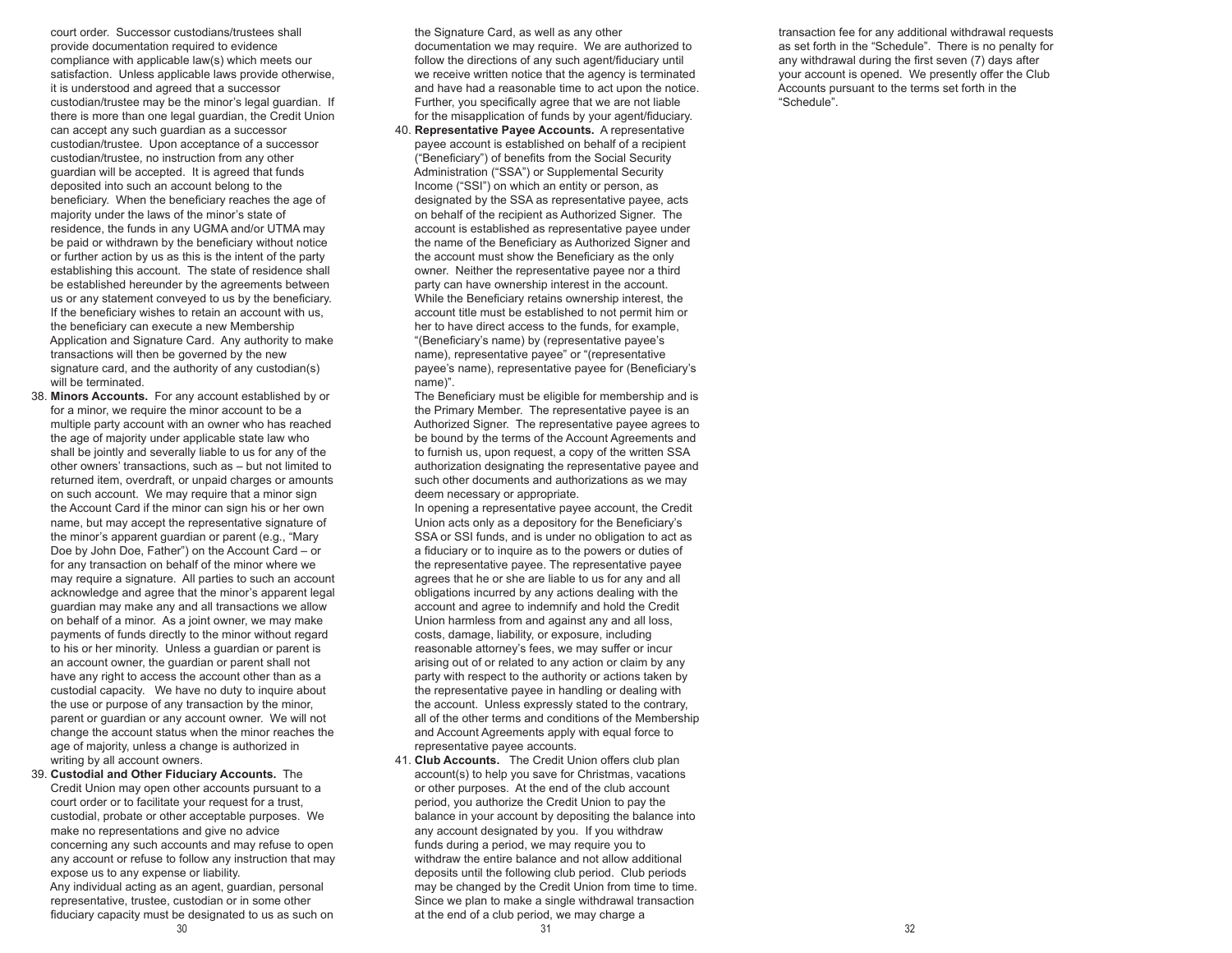court order. Successor custodians/trustees shall provide documentation required to evidence compliance with applicable law(s) which meets our satisfaction. Unless applicable laws provide otherwise, it is understood and agreed that a successor custodian/trustee may be the minor's legal guardian. If there is more than one legal guardian, the Credit Union can accept any such guardian as a successor custodian/trustee. Upon acceptance of a successor custodian/trustee, no instruction from any other guardian will be accepted. It is agreed that funds deposited into such an account belong to the beneficiary. When the beneficiary reaches the age of majority under the laws of the minor's state of residence, the funds in any UGMA and/or UTMA may be paid or withdrawn by the beneficiary without notice or further action by us as this is the intent of the party establishing this account. The state of residence shall be established hereunder by the agreements between us or any statement conveyed to us by the beneficiary. If the beneficiary wishes to retain an account with us, the beneficiary can execute a new Membership Application and Signature Card. Any authority to make transactions will then be governed by the new signature card, and the authority of any custodian(s) will be terminated.

- 38. **Minors Accounts.** For any account established by or for a minor, we require the minor account to be a multiple party account with an owner who has reached the age of majority under applicable state law who shall be jointly and severally liable to us for any of the other owners' transactions, such as – but not limited to returned item, overdraft, or unpaid charges or amounts on such account. We may require that a minor sign the Account Card if the minor can sign his or her own name, but may accept the representative signature of the minor's apparent guardian or parent (e.g., "Mary Doe by John Doe, Father") on the Account Card – or for any transaction on behalf of the minor where we may require a signature. All parties to such an account acknowledge and agree that the minor's apparent legal guardian may make any and all transactions we allow on behalf of a minor. As a joint owner, we may make payments of funds directly to the minor without regard to his or her minority. Unless a guardian or parent is an account owner, the guardian or parent shall not have any right to access the account other than as a custodial capacity. We have no duty to inquire about the use or purpose of any transaction by the minor, parent or guardian or any account owner. We will not change the account status when the minor reaches the age of majority, unless a change is authorized in writing by all account owners.
- 39. **Custodial and Other Fiduciary Accounts.** The Credit Union may open other accounts pursuant to a court order or to facilitate your request for a trust, custodial, probate or other acceptable purposes. We make no representations and give no advice concerning any such accounts and may refuse to open any account or refuse to follow any instruction that may expose us to any expense or liability. Any individual acting as an agent, guardian, personal

 $31$   $32$  representative, trustee, custodian or in some other fiduciary capacity must be designated to us as such on

 the Signature Card, as well as any other documentation we may require. We are authorized to follow the directions of any such agent/fiduciary until we receive written notice that the agency is terminated and have had a reasonable time to act upon the notice. Further, you specifically agree that we are not liable for the misapplication of funds by your agent/fiduciary.

 40. **Representative Payee Accounts.** A representative payee account is established on behalf of a recipient ("Beneficiary") of benefits from the Social Security Administration ("SSA") or Supplemental Security Income ("SSI") on which an entity or person, as designated by the SSA as representative payee, acts on behalf of the recipient as Authorized Signer. The account is established as representative payee under the name of the Beneficiary as Authorized Signer and the account must show the Beneficiary as the only owner. Neither the representative payee nor a third party can have ownership interest in the account. While the Beneficiary retains ownership interest, the account title must be established to not permit him or her to have direct access to the funds, for example, "(Beneficiary's name) by (representative payee's name), representative payee" or "(representative payee's name), representative payee for (Beneficiary's name)".

 The Beneficiary must be eligible for membership and is the Primary Member. The representative payee is an Authorized Signer. The representative payee agrees to be bound by the terms of the Account Agreements and to furnish us, upon request, a copy of the written SSA authorization designating the representative payee and such other documents and authorizations as we may deem necessary or appropriate.

 In opening a representative payee account, the Credit Union acts only as a depository for the Beneficiary's SSA or SSI funds, and is under no obligation to act as a fiduciary or to inquire as to the powers or duties of the representative payee. The representative payee agrees that he or she are liable to us for any and all obligations incurred by any actions dealing with the account and agree to indemnify and hold the Credit Union harmless from and against any and all loss, costs, damage, liability, or exposure, including reasonable attorney's fees, we may suffer or incur arising out of or related to any action or claim by any party with respect to the authority or actions taken by the representative payee in handling or dealing with the account. Unless expressly stated to the contrary, all of the other terms and conditions of the Membership and Account Agreements apply with equal force to representative payee accounts.

 41. **Club Accounts.** The Credit Union offers club plan account(s) to help you save for Christmas, vacations or other purposes. At the end of the club account period, you authorize the Credit Union to pay the balance in your account by depositing the balance into any account designated by you. If you withdraw funds during a period, we may require you to withdraw the entire balance and not allow additional deposits until the following club period. Club periods may be changed by the Credit Union from time to time. Since we plan to make a single withdrawal transaction at the end of a club period, we may charge a

 transaction fee for any additional withdrawal requests as set forth in the "Schedule". There is no penalty for any withdrawal during the first seven (7) days after your account is opened. We presently offer the Club Accounts pursuant to the terms set forth in the "Schedule".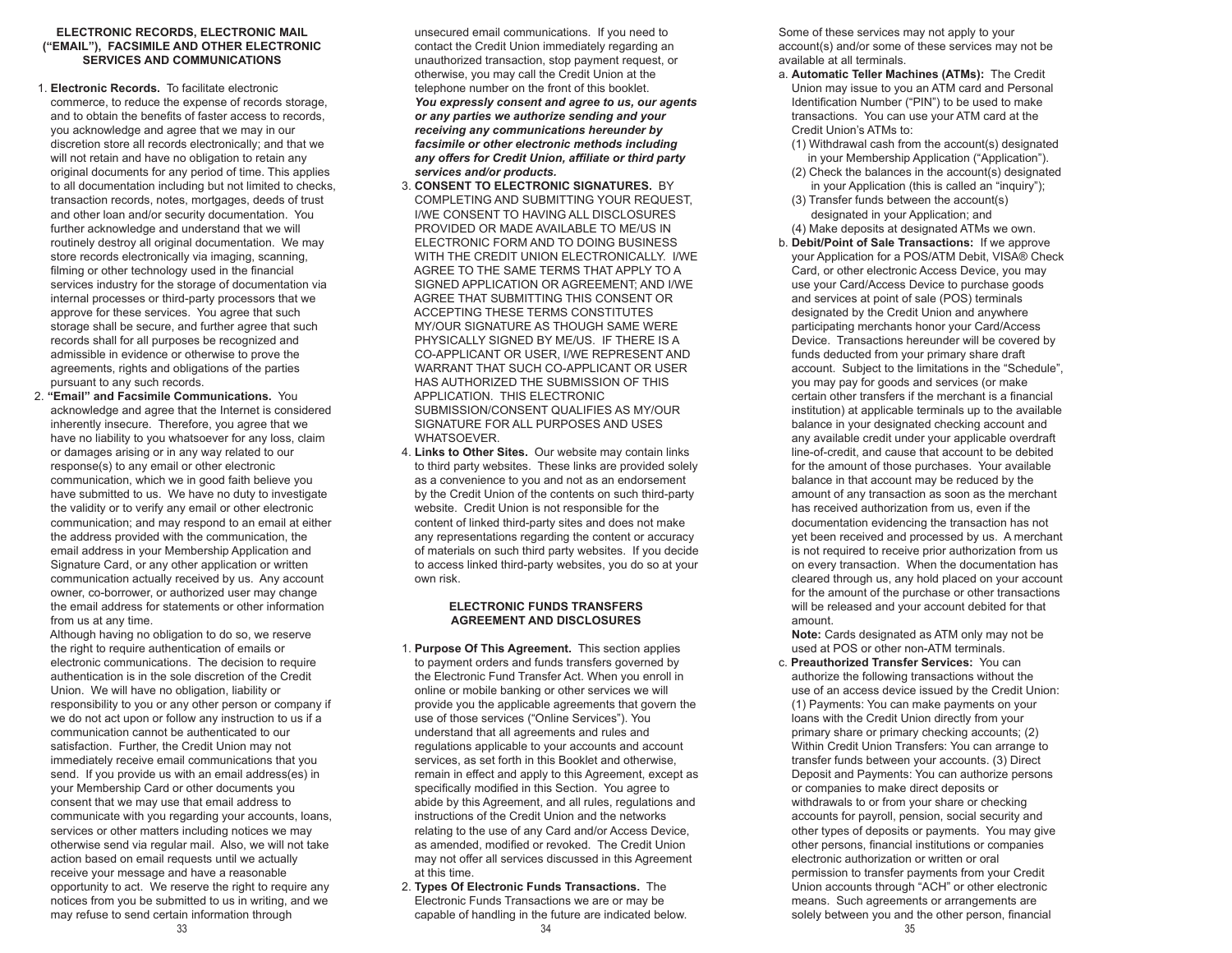# **ELECTRONIC RECORDS, ELECTRONIC MAIL ("EMAIL"), FACSIMILE AND OTHER ELECTRONIC SERVICES AND COMMUNICATIONS**

- 1. **Electronic Records.** To facilitate electronic commerce, to reduce the expense of records storage, and to obtain the benefits of faster access to records, you acknowledge and agree that we may in our discretion store all records electronically; and that we will not retain and have no obligation to retain any original documents for any period of time. This applies to all documentation including but not limited to checks, transaction records, notes, mortgages, deeds of trust and other loan and/or security documentation. You further acknowledge and understand that we will routinely destroy all original documentation. We may store records electronically via imaging, scanning, filming or other technology used in the financial services industry for the storage of documentation via internal processes or third-party processors that we approve for these services. You agree that such storage shall be secure, and further agree that such records shall for all purposes be recognized and admissible in evidence or otherwise to prove the agreements, rights and obligations of the parties pursuant to any such records.
- 2. **"Email" and Facsimile Communications.** You acknowledge and agree that the Internet is considered inherently insecure. Therefore, you agree that we have no liability to you whatsoever for any loss, claim or damages arising or in any way related to our response(s) to any email or other electronic communication, which we in good faith believe you have submitted to us. We have no duty to investigate the validity or to verify any email or other electronic communication; and may respond to an email at either the address provided with the communication, the email address in your Membership Application and Signature Card, or any other application or written communication actually received by us. Any account owner, co-borrower, or authorized user may change the email address for statements or other information from us at any time.

 Although having no obligation to do so, we reserve the right to require authentication of emails or electronic communications. The decision to require authentication is in the sole discretion of the Credit Union. We will have no obligation, liability or responsibility to you or any other person or company if we do not act upon or follow any instruction to us if a communication cannot be authenticated to our satisfaction. Further, the Credit Union may not immediately receive email communications that you send. If you provide us with an email address(es) in your Membership Card or other documents you consent that we may use that email address to communicate with you regarding your accounts, loans, services or other matters including notices we may otherwise send via regular mail. Also, we will not take action based on email requests until we actually receive your message and have a reasonable opportunity to act. We reserve the right to require any notices from you be submitted to us in writing, and we may refuse to send certain information through

 unsecured email communications. If you need to contact the Credit Union immediately regarding an unauthorized transaction, stop payment request, or otherwise, you may call the Credit Union at the telephone number on the front of this booklet. *You expressly consent and agree to us, our agents or any parties we authorize sending and your receiving any communications hereunder by facsimile or other electronic methods including any offers for Credit Union, affiliate or third party services and/or products.*

- 3. **CONSENT TO ELECTRONIC SIGNATURES.** BY COMPLETING AND SUBMITTING YOUR REQUEST, I/WE CONSENT TO HAVING ALL DISCLOSURES PROVIDED OR MADE AVAILABLE TO ME/US IN ELECTRONIC FORM AND TO DOING BUSINESS WITH THE CREDIT UNION ELECTRONICALLY. I/WE AGREE TO THE SAME TERMS THAT APPLY TO A SIGNED APPLICATION OR AGREEMENT; AND I/WE AGREE THAT SUBMITTING THIS CONSENT OR ACCEPTING THESE TERMS CONSTITUTES MY/OUR SIGNATURE AS THOUGH SAME WERE PHYSICALLY SIGNED BY ME/US. IF THERE IS A CO-APPLICANT OR USER, I/WE REPRESENT AND WARRANT THAT SUCH CO-APPLICANT OR USER HAS AUTHORIZED THE SUBMISSION OF THIS APPLICATION. THIS ELECTRONIC SUBMISSION/CONSENT OUALIFIES AS MY/OUR SIGNATURE FOR ALL PURPOSES AND USES WHATSOEVER.
- 4. **Links to Other Sites.** Our website may contain links to third party websites. These links are provided solely as a convenience to you and not as an endorsement by the Credit Union of the contents on such third-party website. Credit Union is not responsible for the content of linked third-party sites and does not make any representations regarding the content or accuracy of materials on such third party websites. If you decide to access linked third-party websites, you do so at your own risk.

#### **ELECTRONIC FUNDS TRANSFERS AGREEMENT AND DISCLOSURES**

- 1. **Purpose Of This Agreement.** This section applies to payment orders and funds transfers governed by the Electronic Fund Transfer Act. When you enroll in online or mobile banking or other services we will provide you the applicable agreements that govern the use of those services ("Online Services"). You understand that all agreements and rules and regulations applicable to your accounts and account services, as set forth in this Booklet and otherwise, remain in effect and apply to this Agreement, except as specifically modified in this Section. You agree to abide by this Agreement, and all rules, regulations and instructions of the Credit Union and the networks relating to the use of any Card and/or Access Device, as amended, modified or revoked. The Credit Union may not offer all services discussed in this Agreement at this time.
- $33$   $34$  2. **Types Of Electronic Funds Transactions.** The Electronic Funds Transactions we are or may be capable of handling in the future are indicated below.

 Some of these services may not apply to your account(s) and/or some of these services may not be available at all terminals.

- a. **Automatic Teller Machines (ATMs):** The Credit Union may issue to you an ATM card and Personal Identification Number ("PIN") to be used to make transactions. You can use your ATM card at the Credit Union's ATMs to:
- (1) Withdrawal cash from the account(s) designated in your Membership Application ("Application").
- (2) Check the balances in the account(s) designated in your Application (this is called an "inquiry");
- (3) Transfer funds between the account(s) designated in your Application; and
- (4) Make deposits at designated ATMs we own.
- b. **Debit/Point of Sale Transactions:** If we approve your Application for a POS/ATM Debit, VISA® Check Card, or other electronic Access Device, you may use your Card/Access Device to purchase goods and services at point of sale (POS) terminals designated by the Credit Union and anywhere participating merchants honor your Card/Access Device. Transactions hereunder will be covered by funds deducted from your primary share draft account. Subject to the limitations in the "Schedule", you may pay for goods and services (or make certain other transfers if the merchant is a financial institution) at applicable terminals up to the available balance in your designated checking account and any available credit under your applicable overdraft line-of-credit, and cause that account to be debited for the amount of those purchases. Your available balance in that account may be reduced by the amount of any transaction as soon as the merchant has received authorization from us, even if the documentation evidencing the transaction has not yet been received and processed by us. A merchant is not required to receive prior authorization from us on every transaction. When the documentation has cleared through us, any hold placed on your account for the amount of the purchase or other transactions will be released and your account debited for that amount.

 **Note:** Cards designated as ATM only may not be used at POS or other non-ATM terminals.

 c. **Preauthorized Transfer Services:** You can authorize the following transactions without the use of an access device issued by the Credit Union: (1) Payments: You can make payments on your loans with the Credit Union directly from your primary share or primary checking accounts; (2) Within Credit Union Transfers: You can arrange to transfer funds between your accounts. (3) Direct Deposit and Payments: You can authorize persons or companies to make direct deposits or withdrawals to or from your share or checking accounts for payroll, pension, social security and other types of deposits or payments. You may give other persons, financial institutions or companies electronic authorization or written or oral permission to transfer payments from your Credit Union accounts through "ACH" or other electronic means. Such agreements or arrangements are solely between you and the other person, financial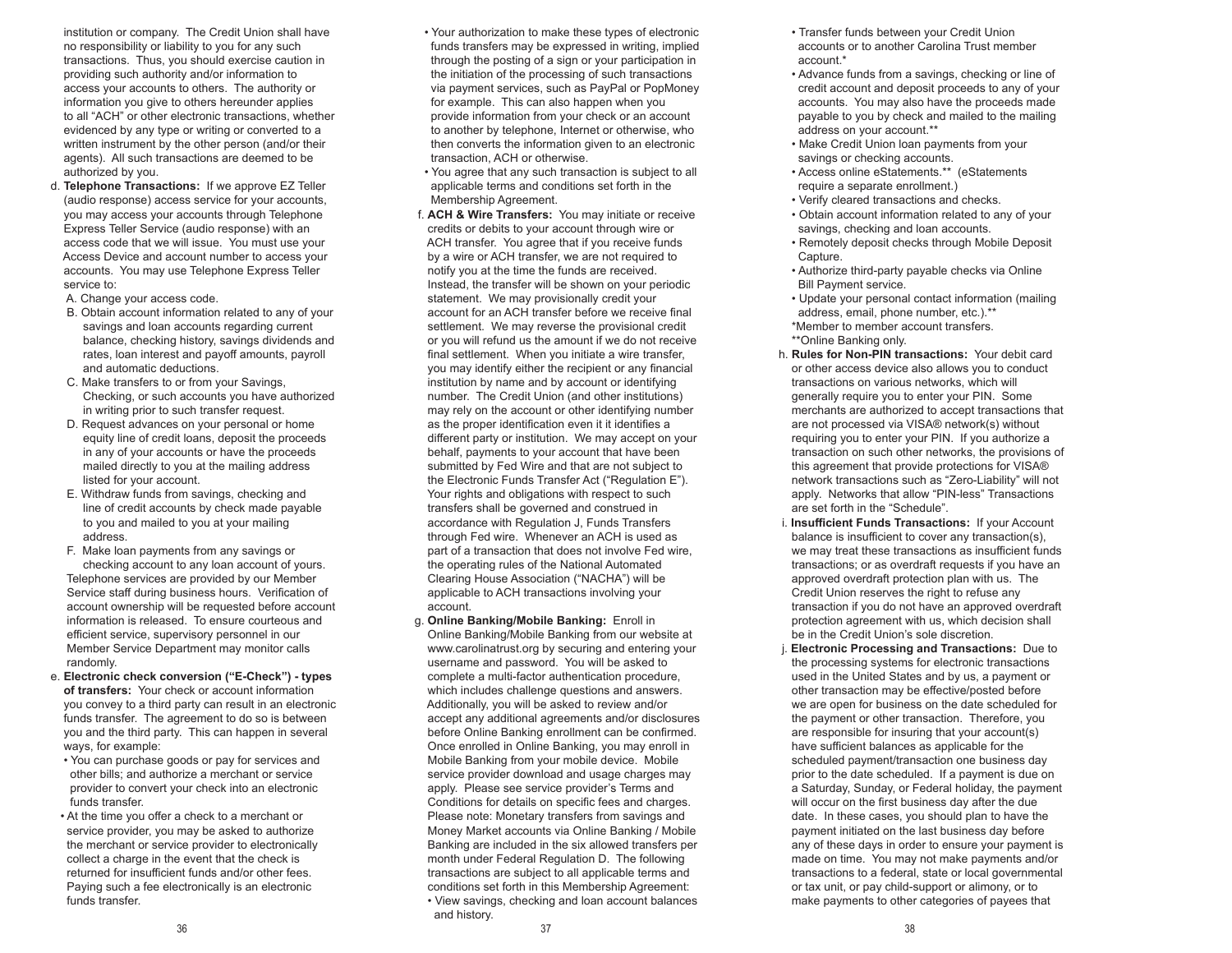institution or company. The Credit Union shall have no responsibility or liability to you for any such transactions. Thus, you should exercise caution in providing such authority and/or information to access your accounts to others. The authority or information you give to others hereunder applies to all "ACH" or other electronic transactions, whether evidenced by any type or writing or converted to a written instrument by the other person (and/or their agents). All such transactions are deemed to be authorized by you.

- d. **Telephone Transactions:** If we approve EZ Teller (audio response) access service for your accounts, you may access your accounts through Telephone Express Teller Service (audio response) with an access code that we will issue. You must use your Access Device and account number to access your accounts. You may use Telephone Express Teller service to:
	- A. Change your access code.
	- B. Obtain account information related to any of your savings and loan accounts regarding current balance, checking history, savings dividends and rates, loan interest and payoff amounts, payroll and automatic deductions.
	- C. Make transfers to or from your Savings, Checking, or such accounts you have authorized in writing prior to such transfer request.
	- D. Request advances on your personal or home equity line of credit loans, deposit the proceeds in any of your accounts or have the proceeds mailed directly to you at the mailing address listed for your account.
	- E. Withdraw funds from savings, checking and line of credit accounts by check made payable to you and mailed to you at your mailing address.
	- F. Make loan payments from any savings or checking account to any loan account of yours. Telephone services are provided by our Member Service staff during business hours. Verification of account ownership will be requested before account information is released. To ensure courteous and efficient service, supervisory personnel in our Member Service Department may monitor calls randomly.
- e. **Electronic check conversion ("E-Check") types of transfers:** Your check or account information you convey to a third party can result in an electronic funds transfer. The agreement to do so is between you and the third party. This can happen in several ways, for example:
	- You can purchase goods or pay for services and other bills; and authorize a merchant or service provider to convert your check into an electronic funds transfer.
- At the time you offer a check to a merchant or service provider, you may be asked to authorize the merchant or service provider to electronically collect a charge in the event that the check is returned for insufficient funds and/or other fees. Paying such a fee electronically is an electronic funds transfer.
- Your authorization to make these types of electronic funds transfers may be expressed in writing, implied through the posting of a sign or your participation in the initiation of the processing of such transactions via payment services, such as PayPal or PopMoney for example. This can also happen when you provide information from your check or an account to another by telephone, Internet or otherwise, who then converts the information given to an electronic transaction, ACH or otherwise.
- You agree that any such transaction is subject to all applicable terms and conditions set forth in the Membership Agreement.
- f. **ACH & Wire Transfers:** You may initiate or receive credits or debits to your account through wire or ACH transfer. You agree that if you receive funds by a wire or ACH transfer, we are not required to notify you at the time the funds are received. Instead, the transfer will be shown on your periodic statement. We may provisionally credit your account for an ACH transfer before we receive final settlement. We may reverse the provisional credit or you will refund us the amount if we do not receive final settlement. When you initiate a wire transfer, you may identify either the recipient or any financial institution by name and by account or identifying number. The Credit Union (and other institutions) may rely on the account or other identifying number as the proper identification even it it identifies a different party or institution. We may accept on your behalf, payments to your account that have been submitted by Fed Wire and that are not subject to the Electronic Funds Transfer Act ("Regulation E"). Your rights and obligations with respect to such transfers shall be governed and construed in accordance with Regulation J, Funds Transfers through Fed wire. Whenever an ACH is used as part of a transaction that does not involve Fed wire, the operating rules of the National Automated Clearing House Association ("NACHA") will be applicable to ACH transactions involving your account.
- g. **Online Banking/Mobile Banking:** Enroll in Online Banking/Mobile Banking from our website at www.carolinatrust.org by securing and entering your username and password. You will be asked to complete a multi-factor authentication procedure, which includes challenge questions and answers. Additionally, you will be asked to review and/or accept any additional agreements and/or disclosures before Online Banking enrollment can be confirmed. Once enrolled in Online Banking, you may enroll in Mobile Banking from your mobile device. Mobile service provider download and usage charges may apply. Please see service provider's Terms and Conditions for details on specific fees and charges. Please note: Monetary transfers from savings and Money Market accounts via Online Banking / Mobile Banking are included in the six allowed transfers per month under Federal Regulation D. The following transactions are subject to all applicable terms and conditions set forth in this Membership Agreement: • View savings, checking and loan account balances and history.
- Transfer funds between your Credit Union accounts or to another Carolina Trust member account.\*
- Advance funds from a savings, checking or line of credit account and deposit proceeds to any of your accounts. You may also have the proceeds made payable to you by check and mailed to the mailing address on your account.\*\*
- Make Credit Union loan payments from your savings or checking accounts.
- Access online eStatements.\*\* (eStatements require a separate enrollment.)
- Verify cleared transactions and checks.
- Obtain account information related to any of your savings, checking and loan accounts.
- Remotely deposit checks through Mobile Deposit Capture.
- Authorize third-party payable checks via Online Bill Payment service.
- Update your personal contact information (mailing address, email, phone number, etc.).\*\* \*Member to member account transfers.
- \*\*Online Banking only.
- h. **Rules for Non-PIN transactions:** Your debit card or other access device also allows you to conduct transactions on various networks, which will generally require you to enter your PIN. Some merchants are authorized to accept transactions that are not processed via VISA® network(s) without requiring you to enter your PIN. If you authorize a transaction on such other networks, the provisions of this agreement that provide protections for VISA® network transactions such as "Zero-Liability" will not apply. Networks that allow "PIN-less" Transactions are set forth in the "Schedule".
- i. **Insufficient Funds Transactions:** If your Account balance is insufficient to cover any transaction(s), we may treat these transactions as insufficient funds transactions; or as overdraft requests if you have an approved overdraft protection plan with us. The Credit Union reserves the right to refuse any transaction if you do not have an approved overdraft protection agreement with us, which decision shall be in the Credit Union's sole discretion.
- j. **Electronic Processing and Transactions:** Due to the processing systems for electronic transactions used in the United States and by us, a payment or other transaction may be effective/posted before we are open for business on the date scheduled for the payment or other transaction. Therefore, you are responsible for insuring that your account(s) have sufficient balances as applicable for the scheduled payment/transaction one business day prior to the date scheduled. If a payment is due on a Saturday, Sunday, or Federal holiday, the payment will occur on the first business day after the due date. In these cases, you should plan to have the payment initiated on the last business day before any of these days in order to ensure your payment is made on time. You may not make payments and/or transactions to a federal, state or local governmental or tax unit, or pay child-support or alimony, or to make payments to other categories of payees that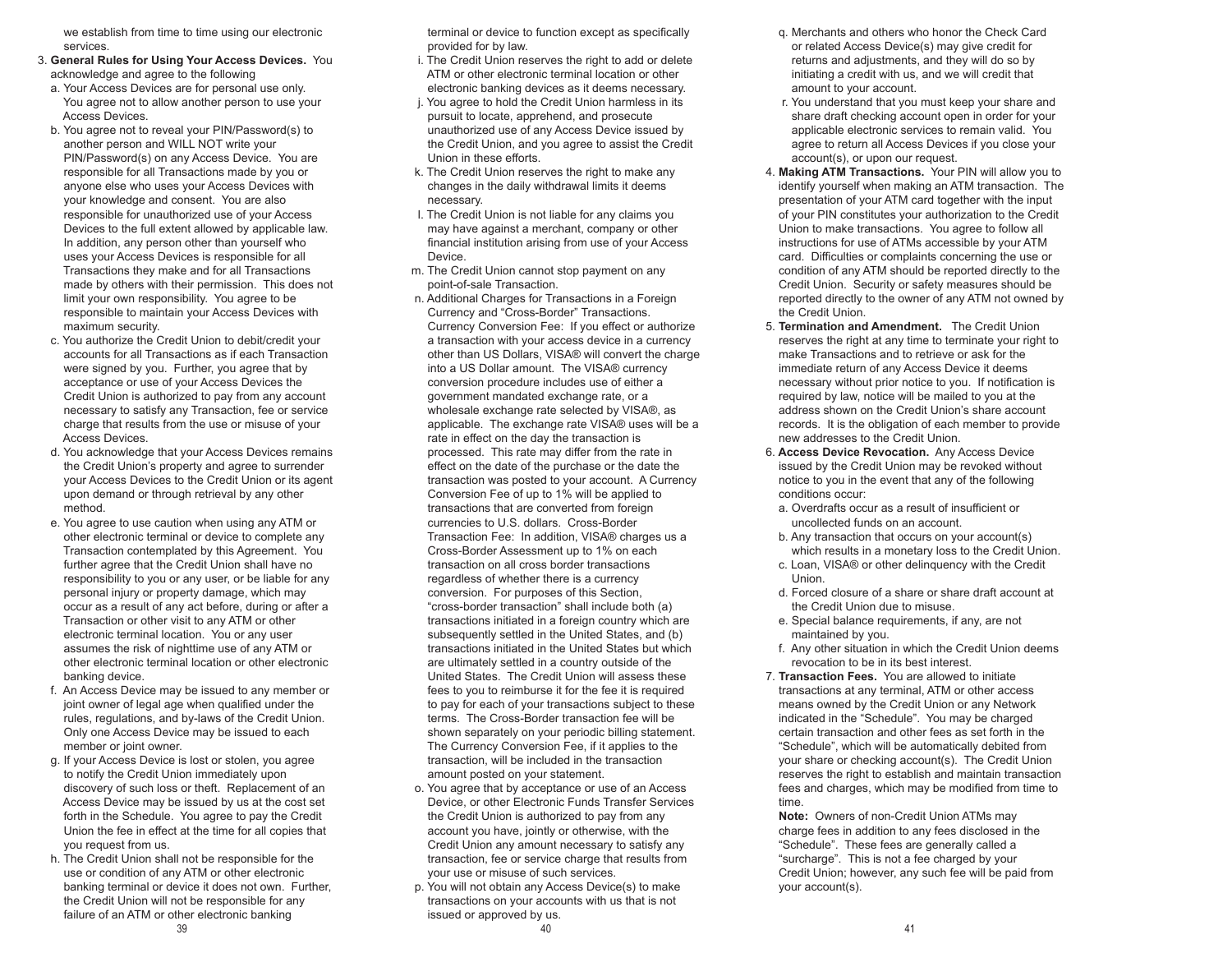we establish from time to time using our electronic services.

- 3. **General Rules for Using Your Access Devices.** You acknowledge and agree to the following
- a. Your Access Devices are for personal use only. You agree not to allow another person to use your Access Devices.
- b. You agree not to reveal your PIN/Password(s) to another person and WILL NOT write your PIN/Password(s) on any Access Device. You are responsible for all Transactions made by you or anyone else who uses your Access Devices with your knowledge and consent. You are also responsible for unauthorized use of your Access Devices to the full extent allowed by applicable law. In addition, any person other than yourself who uses your Access Devices is responsible for all Transactions they make and for all Transactions made by others with their permission. This does not limit your own responsibility. You agree to be responsible to maintain your Access Devices with maximum security.
- c. You authorize the Credit Union to debit/credit your accounts for all Transactions as if each Transaction were signed by you. Further, you agree that by acceptance or use of your Access Devices the Credit Union is authorized to pay from any account necessary to satisfy any Transaction, fee or service charge that results from the use or misuse of your Access Devices.
- d. You acknowledge that your Access Devices remains the Credit Union's property and agree to surrender your Access Devices to the Credit Union or its agent upon demand or through retrieval by any other method.
- e. You agree to use caution when using any ATM or other electronic terminal or device to complete any Transaction contemplated by this Agreement. You further agree that the Credit Union shall have no responsibility to you or any user, or be liable for any personal injury or property damage, which may occur as a result of any act before, during or after a Transaction or other visit to any ATM or other electronic terminal location. You or any user assumes the risk of nighttime use of any ATM or other electronic terminal location or other electronic banking device.
- f. An Access Device may be issued to any member or joint owner of legal age when qualified under the rules, regulations, and by-laws of the Credit Union. Only one Access Device may be issued to each member or joint owner.
- g. If your Access Device is lost or stolen, you agree to notify the Credit Union immediately upon discovery of such loss or theft. Replacement of an Access Device may be issued by us at the cost set forth in the Schedule. You agree to pay the Credit Union the fee in effect at the time for all copies that you request from us.
- h. The Credit Union shall not be responsible for the use or condition of any ATM or other electronic banking terminal or device it does not own. Further, the Credit Union will not be responsible for any failure of an ATM or other electronic banking

 terminal or device to function except as specifically provided for by law.

- i. The Credit Union reserves the right to add or delete ATM or other electronic terminal location or other electronic banking devices as it deems necessary.
- j. You agree to hold the Credit Union harmless in its pursuit to locate, apprehend, and prosecute unauthorized use of any Access Device issued by the Credit Union, and you agree to assist the Credit Union in these efforts.
- k. The Credit Union reserves the right to make any changes in the daily withdrawal limits it deems necessary.
- l. The Credit Union is not liable for any claims you may have against a merchant, company or other financial institution arising from use of your Access Device.
- m. The Credit Union cannot stop payment on any point-of-sale Transaction.
- n. Additional Charges for Transactions in a Foreign Currency and "Cross-Border" Transactions. Currency Conversion Fee: If you effect or authorize a transaction with your access device in a currency other than US Dollars, VISA® will convert the charge into a US Dollar amount. The VISA® currency conversion procedure includes use of either a government mandated exchange rate, or a wholesale exchange rate selected by VISA®, as applicable. The exchange rate VISA® uses will be a rate in effect on the day the transaction is processed. This rate may differ from the rate in effect on the date of the purchase or the date the transaction was posted to your account. A Currency Conversion Fee of up to 1% will be applied to transactions that are converted from foreign currencies to U.S. dollars. Cross-Border Transaction Fee: In addition, VISA® charges us a Cross-Border Assessment up to 1% on each transaction on all cross border transactions regardless of whether there is a currency conversion. For purposes of this Section, "cross-border transaction" shall include both (a) transactions initiated in a foreign country which are subsequently settled in the United States, and (b) transactions initiated in the United States but which are ultimately settled in a country outside of the United States. The Credit Union will assess these fees to you to reimburse it for the fee it is required to pay for each of your transactions subject to these terms. The Cross-Border transaction fee will be shown separately on your periodic billing statement. The Currency Conversion Fee, if it applies to the transaction, will be included in the transaction amount posted on your statement.
- o. You agree that by acceptance or use of an Access Device, or other Electronic Funds Transfer Services the Credit Union is authorized to pay from any account you have, jointly or otherwise, with the Credit Union any amount necessary to satisfy any transaction, fee or service charge that results from your use or misuse of such services.
- $39$  and  $40$  and  $40$  and  $41$  and  $41$  and  $41$  and  $41$  and  $41$  p. You will not obtain any Access Device(s) to make transactions on your accounts with us that is not issued or approved by us.
- q. Merchants and others who honor the Check Card or related Access Device(s) may give credit for returns and adjustments, and they will do so by initiating a credit with us, and we will credit that amount to your account.
- r. You understand that you must keep your share and share draft checking account open in order for your applicable electronic services to remain valid. You agree to return all Access Devices if you close your account(s), or upon our request.
- 4. **Making ATM Transactions.** Your PIN will allow you to identify yourself when making an ATM transaction. The presentation of your ATM card together with the input of your PIN constitutes your authorization to the Credit Union to make transactions. You agree to follow all instructions for use of ATMs accessible by your ATM card. Difficulties or complaints concerning the use or condition of any ATM should be reported directly to the Credit Union. Security or safety measures should be reported directly to the owner of any ATM not owned by the Credit Union.
- 5. **Termination and Amendment.** The Credit Union reserves the right at any time to terminate your right to make Transactions and to retrieve or ask for the immediate return of any Access Device it deems necessary without prior notice to you. If notification is required by law, notice will be mailed to you at the address shown on the Credit Union's share account records. It is the obligation of each member to provide new addresses to the Credit Union.
- 6. **Access Device Revocation.** Any Access Device issued by the Credit Union may be revoked without notice to you in the event that any of the following conditions occur:
	- a. Overdrafts occur as a result of insufficient or uncollected funds on an account.
- b. Any transaction that occurs on your account(s) which results in a monetary loss to the Credit Union.
- c. Loan, VISA® or other delinquency with the Credit Union.
- d. Forced closure of a share or share draft account at the Credit Union due to misuse.
- e. Special balance requirements, if any, are not maintained by you.
- f. Any other situation in which the Credit Union deems revocation to be in its best interest.
- 7. **Transaction Fees.** You are allowed to initiate transactions at any terminal, ATM or other access means owned by the Credit Union or any Network indicated in the "Schedule". You may be charged certain transaction and other fees as set forth in the "Schedule", which will be automatically debited from your share or checking account(s). The Credit Union reserves the right to establish and maintain transaction fees and charges, which may be modified from time to time.

 **Note:** Owners of non-Credit Union ATMs may charge fees in addition to any fees disclosed in the "Schedule". These fees are generally called a "surcharge". This is not a fee charged by your Credit Union; however, any such fee will be paid from your account(s).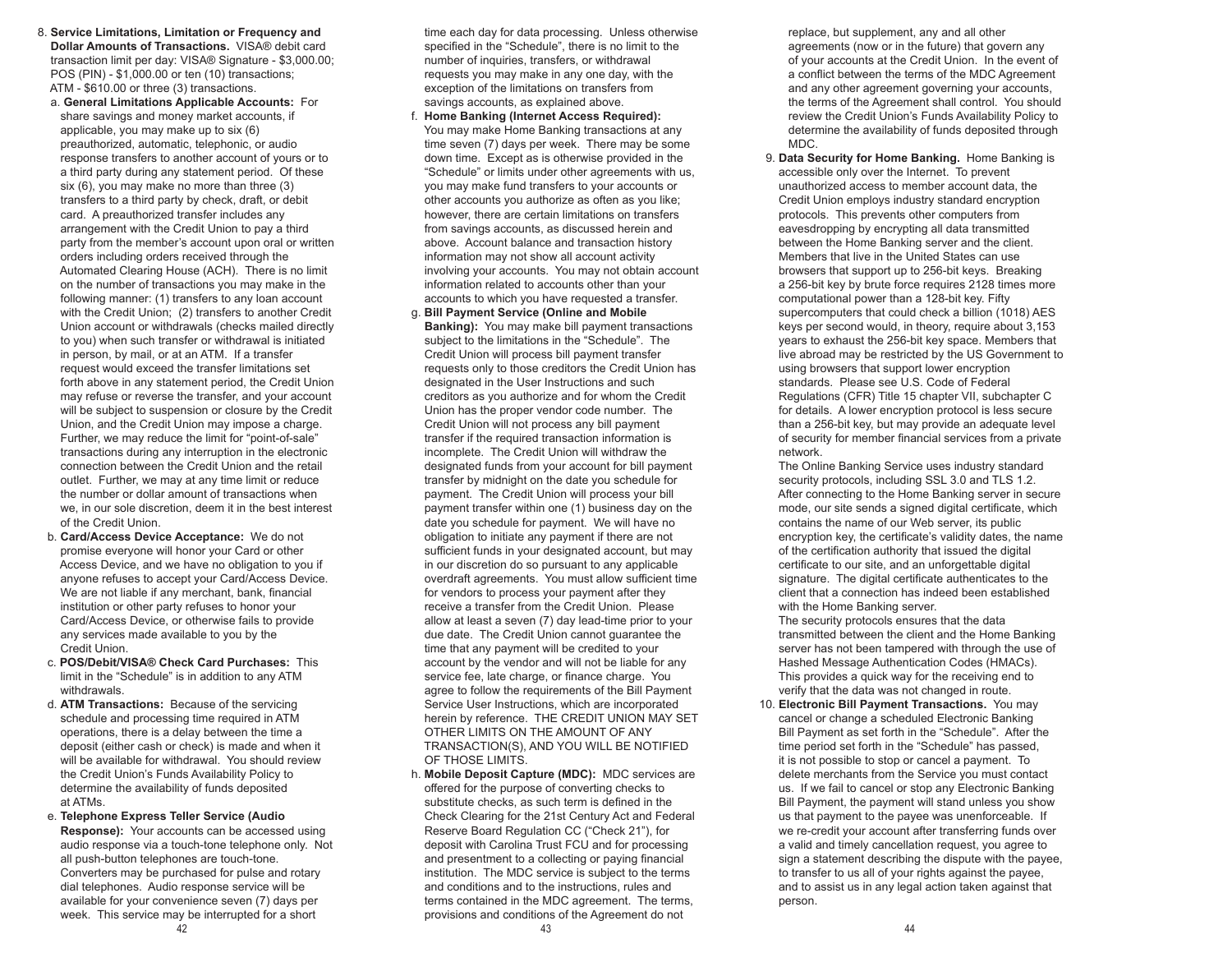- 8. **Service Limitations, Limitation or Frequency and Dollar Amounts of Transactions.** VISA® debit card transaction limit per day: VISA® Signature - \$3,000.00; POS (PIN) - \$1,000.00 or ten (10) transactions; ATM - \$610.00 or three (3) transactions.
	- a. **General Limitations Applicable Accounts:** For share savings and money market accounts, if applicable, you may make up to six (6) preauthorized, automatic, telephonic, or audio response transfers to another account of yours or to a third party during any statement period. Of these six (6), you may make no more than three (3) transfers to a third party by check, draft, or debit card. A preauthorized transfer includes any arrangement with the Credit Union to pay a third party from the member's account upon oral or written orders including orders received through the Automated Clearing House (ACH). There is no limit on the number of transactions you may make in the following manner: (1) transfers to any loan account with the Credit Union; (2) transfers to another Credit Union account or withdrawals (checks mailed directly to you) when such transfer or withdrawal is initiated in person, by mail, or at an ATM. If a transfer request would exceed the transfer limitations set forth above in any statement period, the Credit Union may refuse or reverse the transfer, and your account will be subject to suspension or closure by the Credit Union, and the Credit Union may impose a charge. Further, we may reduce the limit for "point-of-sale" transactions during any interruption in the electronic connection between the Credit Union and the retail outlet. Further, we may at any time limit or reduce the number or dollar amount of transactions when we, in our sole discretion, deem it in the best interest of the Credit Union.
- b. **Card/Access Device Acceptance:** We do not promise everyone will honor your Card or other Access Device, and we have no obligation to you if anyone refuses to accept your Card/Access Device. We are not liable if any merchant, bank, financial institution or other party refuses to honor your Card/Access Device, or otherwise fails to provide any services made available to you by the Credit Union.
- c. **POS/Debit/VISA® Check Card Purchases:** This limit in the "Schedule" is in addition to any ATM withdrawals.
- d. **ATM Transactions:** Because of the servicing schedule and processing time required in ATM operations, there is a delay between the time a deposit (either cash or check) is made and when it will be available for withdrawal. You should review the Credit Union's Funds Availability Policy to determine the availability of funds deposited at ATMs.
- $43$  and  $44$  e. **Telephone Express Teller Service (Audio Response):** Your accounts can be accessed using audio response via a touch-tone telephone only. Not all push-button telephones are touch-tone. Converters may be purchased for pulse and rotary dial telephones. Audio response service will be available for your convenience seven (7) days per week. This service may be interrupted for a short

 time each day for data processing. Unless otherwise specified in the "Schedule", there is no limit to the number of inquiries, transfers, or withdrawal requests you may make in any one day, with the exception of the limitations on transfers from savings accounts, as explained above.

- f. **Home Banking (Internet Access Required):**  You may make Home Banking transactions at any time seven (7) days per week. There may be some down time. Except as is otherwise provided in the "Schedule" or limits under other agreements with us, you may make fund transfers to your accounts or other accounts you authorize as often as you like; however, there are certain limitations on transfers from savings accounts, as discussed herein and above. Account balance and transaction history information may not show all account activity involving your accounts. You may not obtain account information related to accounts other than your accounts to which you have requested a transfer.
- g. **Bill Payment Service (Online and Mobile Banking):** You may make bill payment transactions subject to the limitations in the "Schedule". The Credit Union will process bill payment transfer requests only to those creditors the Credit Union has designated in the User Instructions and such creditors as you authorize and for whom the Credit Union has the proper vendor code number. The Credit Union will not process any bill payment transfer if the required transaction information is incomplete. The Credit Union will withdraw the designated funds from your account for bill payment transfer by midnight on the date you schedule for payment. The Credit Union will process your bill payment transfer within one (1) business day on the date you schedule for payment. We will have no obligation to initiate any payment if there are not sufficient funds in your designated account, but may in our discretion do so pursuant to any applicable overdraft agreements. You must allow sufficient time for vendors to process your payment after they receive a transfer from the Credit Union. Please allow at least a seven (7) day lead-time prior to your due date. The Credit Union cannot guarantee the time that any payment will be credited to your account by the vendor and will not be liable for any service fee, late charge, or finance charge. You agree to follow the requirements of the Bill Payment Service User Instructions, which are incorporated herein by reference. THE CREDIT UNION MAY SET OTHER LIMITS ON THE AMOUNT OF ANY TRANSACTION(S), AND YOU WILL BE NOTIFIED OF THOSE LIMITS.
- h. **Mobile Deposit Capture (MDC):** MDC services are offered for the purpose of converting checks to substitute checks, as such term is defined in the Check Clearing for the 21st Century Act and Federal Reserve Board Regulation CC ("Check 21"), for deposit with Carolina Trust FCU and for processing and presentment to a collecting or paying financial institution. The MDC service is subject to the terms and conditions and to the instructions, rules and terms contained in the MDC agreement. The terms, provisions and conditions of the Agreement do not

 replace, but supplement, any and all other agreements (now or in the future) that govern any of your accounts at the Credit Union. In the event of a conflict between the terms of the MDC Agreement and any other agreement governing your accounts, the terms of the Agreement shall control. You should review the Credit Union's Funds Availability Policy to determine the availability of funds deposited through MDC.

 9. **Data Security for Home Banking.** Home Banking is accessible only over the Internet. To prevent unauthorized access to member account data, the Credit Union employs industry standard encryption protocols. This prevents other computers from eavesdropping by encrypting all data transmitted between the Home Banking server and the client. Members that live in the United States can use browsers that support up to 256-bit keys. Breaking a 256-bit key by brute force requires 2128 times more computational power than a 128-bit key. Fifty supercomputers that could check a billion (1018) AES keys per second would, in theory, require about 3,153 years to exhaust the 256-bit key space. Members that live abroad may be restricted by the US Government to using browsers that support lower encryption standards. Please see U.S. Code of Federal Regulations (CFR) Title 15 chapter VII, subchapter C for details. A lower encryption protocol is less secure than a 256-bit key, but may provide an adequate level of security for member financial services from a private network.

 The Online Banking Service uses industry standard security protocols, including SSL 3.0 and TLS 1.2. After connecting to the Home Banking server in secure mode, our site sends a signed digital certificate, which contains the name of our Web server, its public encryption key, the certificate's validity dates, the name of the certification authority that issued the digital certificate to our site, and an unforgettable digital signature. The digital certificate authenticates to the client that a connection has indeed been established with the Home Banking server.

 The security protocols ensures that the data transmitted between the client and the Home Banking server has not been tampered with through the use of Hashed Message Authentication Codes (HMACs). This provides a quick way for the receiving end to verify that the data was not changed in route.

 10. **Electronic Bill Payment Transactions.** You may cancel or change a scheduled Electronic Banking Bill Payment as set forth in the "Schedule". After the time period set forth in the "Schedule" has passed, it is not possible to stop or cancel a payment. To delete merchants from the Service you must contact us. If we fail to cancel or stop any Electronic Banking Bill Payment, the payment will stand unless you show us that payment to the payee was unenforceable. If we re-credit your account after transferring funds over a valid and timely cancellation request, you agree to sign a statement describing the dispute with the payee, to transfer to us all of your rights against the payee, and to assist us in any legal action taken against that person.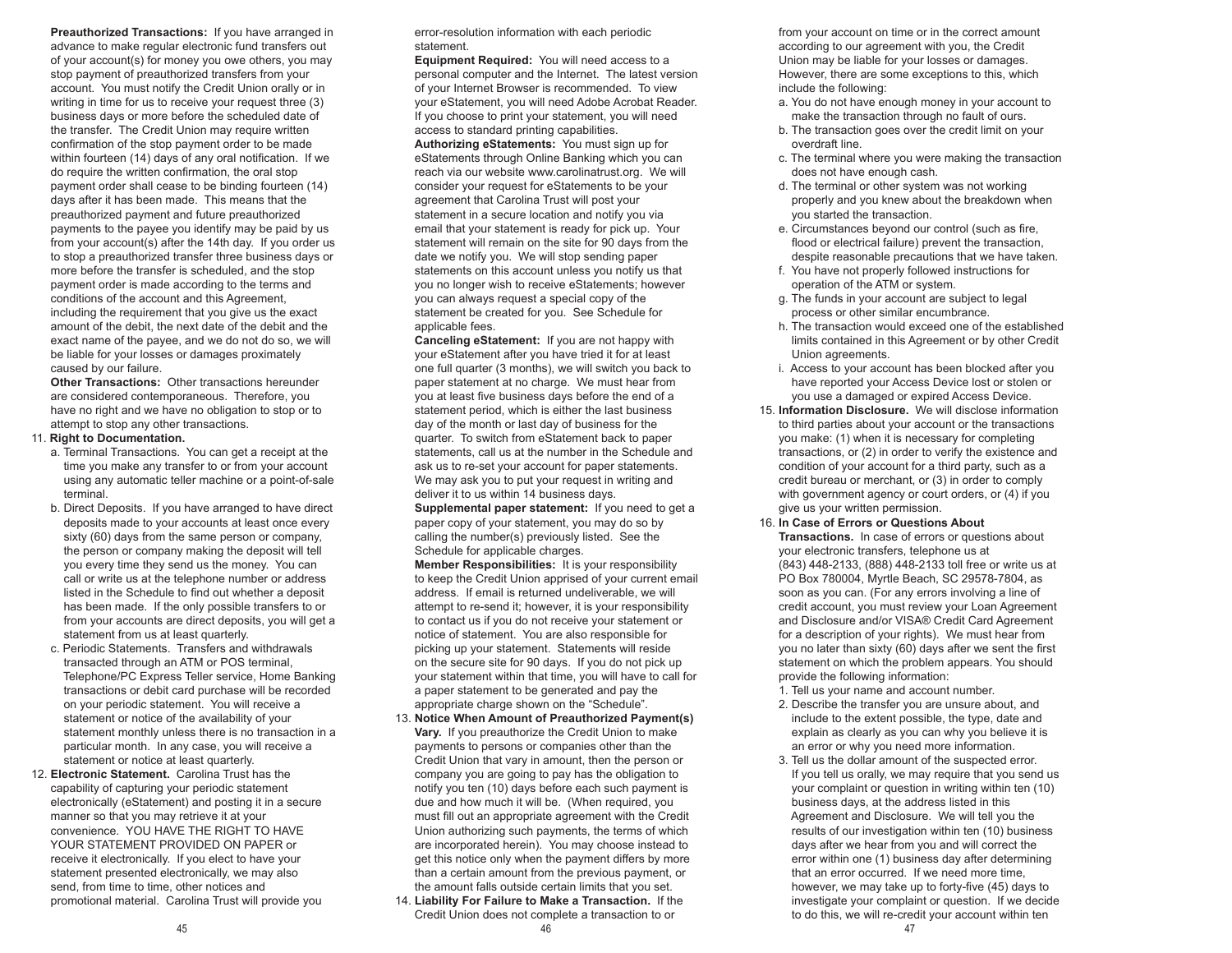**Preauthorized Transactions:** If you have arranged in advance to make regular electronic fund transfers out of your account(s) for money you owe others, you may stop payment of preauthorized transfers from your account. You must notify the Credit Union orally or in writing in time for us to receive your request three (3) business days or more before the scheduled date of the transfer. The Credit Union may require written confirmation of the stop payment order to be made within fourteen (14) days of any oral notification. If we do require the written confirmation, the oral stop payment order shall cease to be binding fourteen (14) days after it has been made. This means that the preauthorized payment and future preauthorized payments to the payee you identify may be paid by us from your account(s) after the 14th day. If you order us to stop a preauthorized transfer three business days or more before the transfer is scheduled, and the stop payment order is made according to the terms and conditions of the account and this Agreement, including the requirement that you give us the exact amount of the debit, the next date of the debit and the exact name of the payee, and we do not do so, we will be liable for your losses or damages proximately caused by our failure.

 **Other Transactions:** Other transactions hereunder are considered contemporaneous. Therefore, you have no right and we have no obligation to stop or to attempt to stop any other transactions.

#### 11. **Right to Documentation.**

- a. Terminal Transactions. You can get a receipt at the time you make any transfer to or from your account using any automatic teller machine or a point-of-sale terminal.
- b. Direct Deposits. If you have arranged to have direct deposits made to your accounts at least once every sixty (60) days from the same person or company. the person or company making the deposit will tell you every time they send us the money. You can call or write us at the telephone number or address listed in the Schedule to find out whether a deposit has been made. If the only possible transfers to or from your accounts are direct deposits, you will get a statement from us at least quarterly.
- c. Periodic Statements. Transfers and withdrawals transacted through an ATM or POS terminal, Telephone/PC Express Teller service, Home Banking transactions or debit card purchase will be recorded on your periodic statement. You will receive a statement or notice of the availability of your statement monthly unless there is no transaction in a particular month. In any case, you will receive a statement or notice at least quarterly.
- 12. **Electronic Statement.** Carolina Trust has the capability of capturing your periodic statement electronically (eStatement) and posting it in a secure manner so that you may retrieve it at your convenience. YOU HAVE THE RIGHT TO HAVE YOUR STATEMENT PROVIDED ON PAPER or receive it electronically. If you elect to have your statement presented electronically, we may also send, from time to time, other notices and promotional material. Carolina Trust will provide you

 error-resolution information with each periodic statement.

 **Equipment Required:** You will need access to a personal computer and the Internet. The latest version of your Internet Browser is recommended. To view your eStatement, you will need Adobe Acrobat Reader. If you choose to print your statement, you will need access to standard printing capabilities. **Authorizing eStatements:** You must sign up for eStatements through Online Banking which you can reach via our website www.carolinatrust.org. We will consider your request for eStatements to be your agreement that Carolina Trust will post your statement in a secure location and notify you via email that your statement is ready for pick up. Your statement will remain on the site for 90 days from the date we notify you. We will stop sending paper statements on this account unless you notify us that you no longer wish to receive eStatements; however you can always request a special copy of the statement be created for you. See Schedule for applicable fees.

 **Canceling eStatement:** If you are not happy with your eStatement after you have tried it for at least one full quarter (3 months), we will switch you back to paper statement at no charge. We must hear from you at least five business days before the end of a statement period, which is either the last business day of the month or last day of business for the quarter. To switch from eStatement back to paper statements, call us at the number in the Schedule and ask us to re-set your account for paper statements. We may ask you to put your request in writing and deliver it to us within 14 business days.

**Supplemental paper statement:** If you need to get a paper copy of your statement, you may do so by calling the number(s) previously listed. See the Schedule for applicable charges.

 **Member Responsibilities:** It is your responsibility to keep the Credit Union apprised of your current email address. If email is returned undeliverable, we will attempt to re-send it; however, it is your responsibility to contact us if you do not receive your statement or notice of statement. You are also responsible for picking up your statement. Statements will reside on the secure site for 90 days. If you do not pick up your statement within that time, you will have to call for a paper statement to be generated and pay the appropriate charge shown on the "Schedule".

- 13. **Notice When Amount of Preauthorized Payment(s) Vary.** If you preauthorize the Credit Union to make payments to persons or companies other than the Credit Union that vary in amount, then the person or company you are going to pay has the obligation to notify you ten (10) days before each such payment is due and how much it will be. (When required, you must fill out an appropriate agreement with the Credit Union authorizing such payments, the terms of which are incorporated herein). You may choose instead to get this notice only when the payment differs by more than a certain amount from the previous payment, or the amount falls outside certain limits that you set.
- 45 46 47 14. **Liability For Failure to Make a Transaction.** If the Credit Union does not complete a transaction to or

 from your account on time or in the correct amount according to our agreement with you, the Credit Union may be liable for your losses or damages. However, there are some exceptions to this, which include the following:

- a. You do not have enough money in your account to make the transaction through no fault of ours.
- b. The transaction goes over the credit limit on your overdraft line.
- c. The terminal where you were making the transaction does not have enough cash.
- d. The terminal or other system was not working properly and you knew about the breakdown when you started the transaction.
- e. Circumstances beyond our control (such as fire, flood or electrical failure) prevent the transaction, despite reasonable precautions that we have taken.
- f. You have not properly followed instructions for operation of the ATM or system.
- g. The funds in your account are subject to legal process or other similar encumbrance.
- h. The transaction would exceed one of the established limits contained in this Agreement or by other Credit Union agreements.
- i. Access to your account has been blocked after you have reported your Access Device lost or stolen or you use a damaged or expired Access Device.
- 15. **Information Disclosure.** We will disclose information to third parties about your account or the transactions you make: (1) when it is necessary for completing transactions, or (2) in order to verify the existence and condition of your account for a third party, such as a credit bureau or merchant, or (3) in order to comply with government agency or court orders, or (4) if you give us your written permission.
- 16. **In Case of Errors or Questions About Transactions.** In case of errors or questions about your electronic transfers, telephone us at (843) 448-2133, (888) 448-2133 toll free or write us at PO Box 780004, Myrtle Beach, SC 29578-7804, as soon as you can. (For any errors involving a line of credit account, you must review your Loan Agreement and Disclosure and/or VISA® Credit Card Agreement for a description of your rights). We must hear from you no later than sixty (60) days after we sent the first statement on which the problem appears. You should provide the following information:
	- 1. Tell us your name and account number.
	- 2. Describe the transfer you are unsure about, and include to the extent possible, the type, date and explain as clearly as you can why you believe it is an error or why you need more information.
	- 3. Tell us the dollar amount of the suspected error. If you tell us orally, we may require that you send us your complaint or question in writing within ten (10) business days, at the address listed in this Agreement and Disclosure. We will tell you the results of our investigation within ten (10) business days after we hear from you and will correct the error within one (1) business day after determining that an error occurred. If we need more time, however, we may take up to forty-five (45) days to investigate your complaint or question. If we decide to do this, we will re-credit your account within ten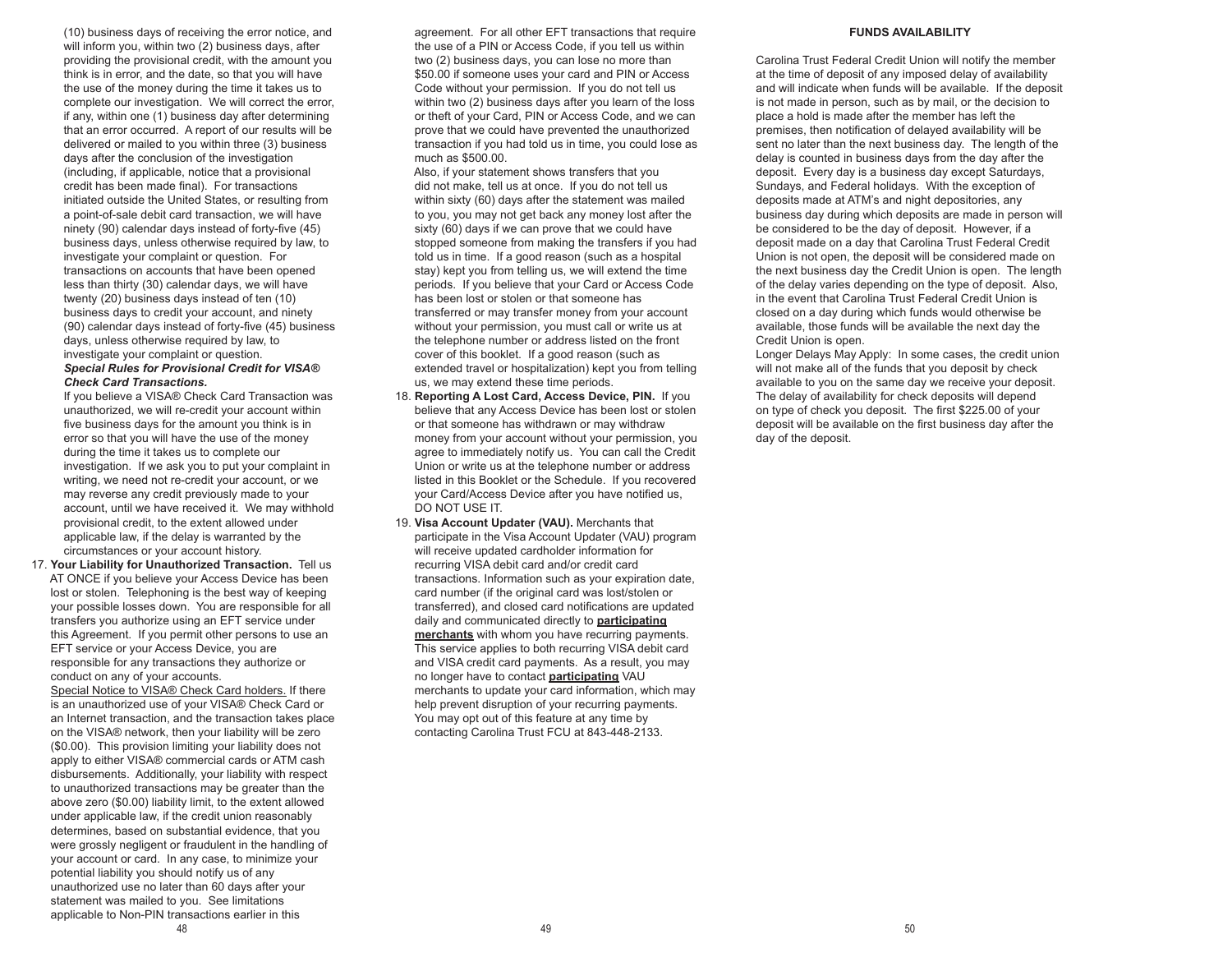(10) business days of receiving the error notice, and will inform you, within two (2) business days, after providing the provisional credit, with the amount you think is in error, and the date, so that you will have the use of the money during the time it takes us to complete our investigation. We will correct the error, if any, within one (1) business day after determining that an error occurred. A report of our results will be delivered or mailed to you within three (3) business days after the conclusion of the investigation (including, if applicable, notice that a provisional credit has been made final). For transactions initiated outside the United States, or resulting from a point-of-sale debit card transaction, we will have ninety (90) calendar days instead of forty-five (45) business days, unless otherwise required by law, to investigate your complaint or question. For transactions on accounts that have been opened less than thirty (30) calendar days, we will have twenty (20) business days instead of ten (10) business days to credit your account, and ninety (90) calendar days instead of forty-five (45) business days, unless otherwise required by law, to investigate your complaint or question. *Special Rules for Provisional Credit for VISA®* 

#### *Check Card Transactions.*

 If you believe a VISA® Check Card Transaction was unauthorized, we will re-credit your account within five business days for the amount you think is in error so that you will have the use of the money during the time it takes us to complete our investigation. If we ask you to put your complaint in writing, we need not re-credit your account, or we may reverse any credit previously made to your account, until we have received it. We may withhold provisional credit, to the extent allowed under applicable law, if the delay is warranted by the circumstances or your account history.

 17. **Your Liability for Unauthorized Transaction.** Tell us AT ONCE if you believe your Access Device has been lost or stolen. Telephoning is the best way of keeping your possible losses down. You are responsible for all transfers you authorize using an EFT service under this Agreement. If you permit other persons to use an EFT service or your Access Device, you are responsible for any transactions they authorize or conduct on any of your accounts.

 Special Notice to VISA® Check Card holders. If there is an unauthorized use of your VISA® Check Card or an Internet transaction, and the transaction takes place on the VISA® network, then your liability will be zero (\$0.00). This provision limiting your liability does not apply to either VISA® commercial cards or ATM cash disbursements. Additionally, your liability with respect to unauthorized transactions may be greater than the above zero (\$0.00) liability limit, to the extent allowed under applicable law, if the credit union reasonably determines, based on substantial evidence, that you were grossly negligent or fraudulent in the handling of your account or card. In any case, to minimize your potential liability you should notify us of any unauthorized use no later than 60 days after your statement was mailed to you. See limitations applicable to Non-PIN transactions earlier in this

 agreement. For all other EFT transactions that require the use of a PIN or Access Code, if you tell us within two (2) business days, you can lose no more than \$50.00 if someone uses your card and PIN or Access Code without your permission. If you do not tell us within two (2) business days after you learn of the loss or theft of your Card, PIN or Access Code, and we can prove that we could have prevented the unauthorized transaction if you had told us in time, you could lose as much as \$500.00.

 Also, if your statement shows transfers that you did not make, tell us at once. If you do not tell us within sixty (60) days after the statement was mailed to you, you may not get back any money lost after the sixty (60) days if we can prove that we could have stopped someone from making the transfers if you had told us in time. If a good reason (such as a hospital stay) kept you from telling us, we will extend the time periods. If you believe that your Card or Access Code has been lost or stolen or that someone has transferred or may transfer money from your account without your permission, you must call or write us at the telephone number or address listed on the front cover of this booklet. If a good reason (such as extended travel or hospitalization) kept you from telling us, we may extend these time periods.

- 18. **Reporting A Lost Card, Access Device, PIN.** If you believe that any Access Device has been lost or stolen or that someone has withdrawn or may withdraw money from your account without your permission, you agree to immediately notify us. You can call the Credit Union or write us at the telephone number or address listed in this Booklet or the Schedule. If you recovered your Card/Access Device after you have notified us, DO NOT USE IT.
- 19. **Visa Account Updater (VAU).** Merchants that participate in the Visa Account Updater (VAU) program will receive updated cardholder information for recurring VISA debit card and/or credit card transactions. Information such as your expiration date, card number (if the original card was lost/stolen or transferred), and closed card notifications are updated daily and communicated directly to **participating merchants** with whom you have recurring payments. This service applies to both recurring VISA debit card and VISA credit card payments. As a result, you may no longer have to contact **participating** VAU merchants to update your card information, which may help prevent disruption of your recurring payments. You may opt out of this feature at any time by contacting Carolina Trust FCU at 843-448-2133.

#### **FUNDS AVAILABILITY**

Carolina Trust Federal Credit Union will notify the member at the time of deposit of any imposed delay of availability and will indicate when funds will be available. If the deposit is not made in person, such as by mail, or the decision to place a hold is made after the member has left the premises, then notification of delayed availability will be sent no later than the next business day. The length of the delay is counted in business days from the day after the deposit. Every day is a business day except Saturdays, Sundays, and Federal holidays. With the exception of deposits made at ATM's and night depositories, any business day during which deposits are made in person will be considered to be the day of deposit. However, if a deposit made on a day that Carolina Trust Federal Credit Union is not open, the deposit will be considered made on the next business day the Credit Union is open. The length of the delay varies depending on the type of deposit. Also, in the event that Carolina Trust Federal Credit Union is closed on a day during which funds would otherwise be available, those funds will be available the next day the Credit Union is open.

Longer Delays May Apply: In some cases, the credit union will not make all of the funds that you deposit by check available to you on the same day we receive your deposit. The delay of availability for check deposits will depend on type of check you deposit. The first \$225.00 of your deposit will be available on the first business day after the day of the deposit.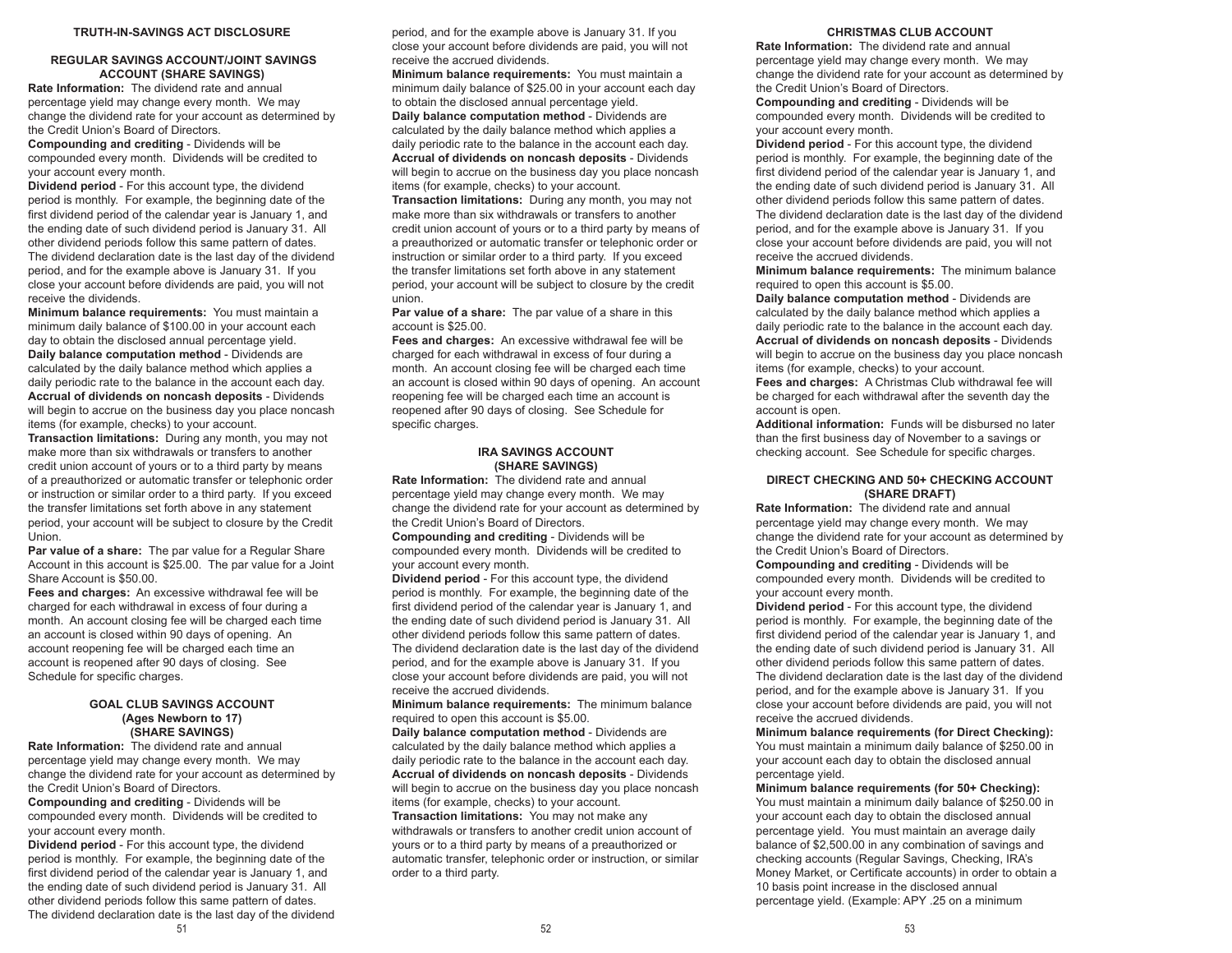#### **TRUTH-IN-SAVINGS ACT DISCLOSURE**

# **REGULAR SAVINGS ACCOUNT/JOINT SAVINGS ACCOUNT (SHARE SAVINGS)**

**Rate Information:** The dividend rate and annual percentage yield may change every month. We may change the dividend rate for your account as determined by the Credit Union's Board of Directors.

**Compounding and crediting** - Dividends will be compounded every month. Dividends will be credited to your account every month.

**Dividend period** - For this account type, the dividend period is monthly. For example, the beginning date of the first dividend period of the calendar year is January 1, and the ending date of such dividend period is January 31. All other dividend periods follow this same pattern of dates. The dividend declaration date is the last day of the dividend period, and for the example above is January 31. If you close your account before dividends are paid, you will not receive the dividends.

**Minimum balance requirements:** You must maintain a minimum daily balance of \$100.00 in your account each day to obtain the disclosed annual percentage yield. **Daily balance computation method** - Dividends are calculated by the daily balance method which applies a daily periodic rate to the balance in the account each day. **Accrual of dividends on noncash deposits** - Dividends will begin to accrue on the business day you place noncash items (for example, checks) to your account.

**Transaction limitations:** During any month, you may not make more than six withdrawals or transfers to another credit union account of yours or to a third party by means of a preauthorized or automatic transfer or telephonic order or instruction or similar order to a third party. If you exceed the transfer limitations set forth above in any statement period, your account will be subject to closure by the Credit **Union** 

**Par value of a share:** The par value for a Regular Share Account in this account is \$25.00. The par value for a Joint Share Account is \$50.00.

**Fees and charges:** An excessive withdrawal fee will be charged for each withdrawal in excess of four during a month. An account closing fee will be charged each time an account is closed within 90 days of opening. An account reopening fee will be charged each time an account is reopened after 90 days of closing. See Schedule for specific charges.

# **GOAL CLUB SAVINGS ACCOUNT (Ages Newborn to 17) (SHARE SAVINGS)**

**Rate Information:** The dividend rate and annual percentage yield may change every month. We may change the dividend rate for your account as determined by the Credit Union's Board of Directors.

**Compounding and crediting** - Dividends will be compounded every month. Dividends will be credited to your account every month.

 $51$ **Dividend period** - For this account type, the dividend period is monthly. For example, the beginning date of the first dividend period of the calendar year is January 1, and the ending date of such dividend period is January 31. All other dividend periods follow this same pattern of dates. The dividend declaration date is the last day of the dividend

period, and for the example above is January 31. If you close your account before dividends are paid, you will not receive the accrued dividends.

**Minimum balance requirements:** You must maintain a minimum daily balance of \$25.00 in your account each day to obtain the disclosed annual percentage yield. **Daily balance computation method** - Dividends are calculated by the daily balance method which applies a daily periodic rate to the balance in the account each day. **Accrual of dividends on noncash deposits** - Dividends will begin to accrue on the business day you place noncash items (for example, checks) to your account. **Transaction limitations:** During any month, you may not make more than six withdrawals or transfers to another credit union account of yours or to a third party by means of a preauthorized or automatic transfer or telephonic order or instruction or similar order to a third party. If you exceed the transfer limitations set forth above in any statement period, your account will be subject to closure by the credit union.

**Par value of a share:** The par value of a share in this account is \$25.00.

**Fees and charges:** An excessive withdrawal fee will be charged for each withdrawal in excess of four during a month. An account closing fee will be charged each time an account is closed within 90 days of opening. An account reopening fee will be charged each time an account is reopened after 90 days of closing. See Schedule for specific charges.

## **IRA SAVINGS ACCOUNT (SHARE SAVINGS)**

**Rate Information:** The dividend rate and annual percentage yield may change every month. We may change the dividend rate for your account as determined by the Credit Union's Board of Directors.

**Compounding and crediting** - Dividends will be compounded every month. Dividends will be credited to your account every month.

**Dividend period** - For this account type, the dividend period is monthly. For example, the beginning date of the first dividend period of the calendar year is January 1, and the ending date of such dividend period is January 31. All other dividend periods follow this same pattern of dates. The dividend declaration date is the last day of the dividend period, and for the example above is January 31. If you close your account before dividends are paid, you will not receive the accrued dividends.

**Minimum balance requirements:** The minimum balance required to open this account is \$5.00.

**Daily balance computation method** - Dividends are calculated by the daily balance method which applies a daily periodic rate to the balance in the account each day. **Accrual of dividends on noncash deposits** - Dividends will begin to accrue on the business day you place noncash items (for example, checks) to your account. **Transaction limitations:** You may not make any withdrawals or transfers to another credit union account of yours or to a third party by means of a preauthorized or automatic transfer, telephonic order or instruction, or similar order to a third party.

#### **CHRISTMAS CLUB ACCOUNT**

**Rate Information:** The dividend rate and annual percentage yield may change every month. We may change the dividend rate for your account as determined by the Credit Union's Board of Directors.

**Compounding and crediting** - Dividends will be compounded every month. Dividends will be credited to your account every month.

**Dividend period** - For this account type, the dividend period is monthly. For example, the beginning date of the first dividend period of the calendar year is January 1, and the ending date of such dividend period is January 31. All other dividend periods follow this same pattern of dates. The dividend declaration date is the last day of the dividend period, and for the example above is January 31. If you close your account before dividends are paid, you will not receive the accrued dividends.

**Minimum balance requirements:** The minimum balance required to open this account is \$5.00.

**Daily balance computation method** - Dividends are calculated by the daily balance method which applies a daily periodic rate to the balance in the account each day. **Accrual of dividends on noncash deposits** - Dividends will begin to accrue on the business day you place noncash items (for example, checks) to your account.

**Fees and charges:** A Christmas Club withdrawal fee will be charged for each withdrawal after the seventh day the account is open.

**Additional information:** Funds will be disbursed no later than the first business day of November to a savings or checking account. See Schedule for specific charges.

#### **DIRECT CHECKING AND 50+ CHECKING ACCOUNT (SHARE DRAFT)**

**Rate Information:** The dividend rate and annual percentage yield may change every month. We may change the dividend rate for your account as determined by the Credit Union's Board of Directors.

**Compounding and crediting** - Dividends will be compounded every month. Dividends will be credited to your account every month.

**Dividend period** - For this account type, the dividend period is monthly. For example, the beginning date of the first dividend period of the calendar year is January 1, and the ending date of such dividend period is January 31. All other dividend periods follow this same pattern of dates. The dividend declaration date is the last day of the dividend period, and for the example above is January 31. If you close your account before dividends are paid, you will not receive the accrued dividends.

**Minimum balance requirements (for Direct Checking):** You must maintain a minimum daily balance of \$250.00 in your account each day to obtain the disclosed annual percentage yield.

**Minimum balance requirements (for 50+ Checking):** You must maintain a minimum daily balance of \$250.00 in your account each day to obtain the disclosed annual percentage yield. You must maintain an average daily balance of \$2,500.00 in any combination of savings and checking accounts (Regular Savings, Checking, IRA's Money Market, or Certificate accounts) in order to obtain a 10 basis point increase in the disclosed annual percentage yield. (Example: APY .25 on a minimum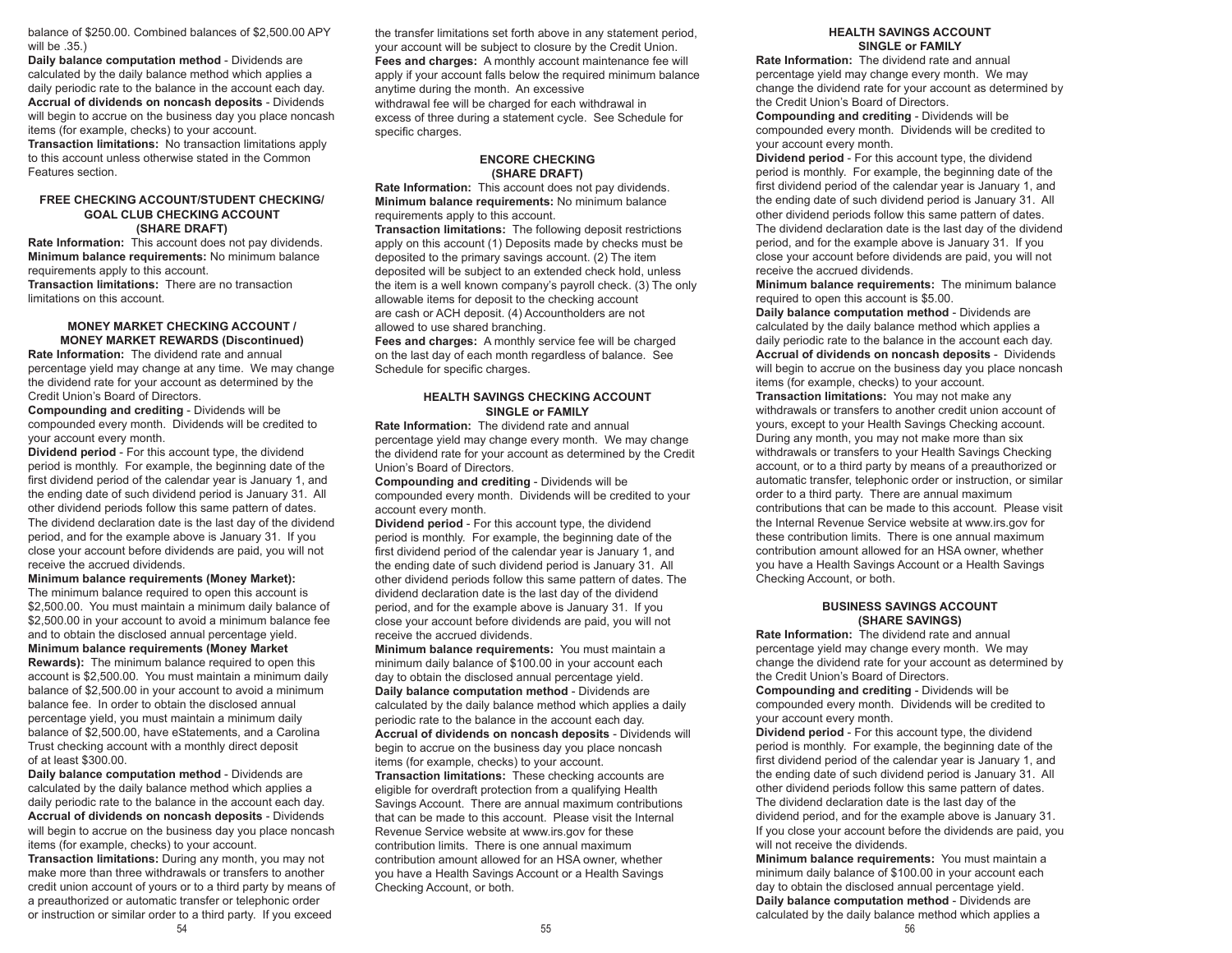balance of \$250.00. Combined balances of \$2,500.00 APY will be .35.)

**Daily balance computation method** - Dividends are calculated by the daily balance method which applies a daily periodic rate to the balance in the account each day. **Accrual of dividends on noncash deposits** - Dividends will begin to accrue on the business day you place noncash items (for example, checks) to your account.

**Transaction limitations:** No transaction limitations apply to this account unless otherwise stated in the Common Features section.

#### **FREE CHECKING ACCOUNT/STUDENT CHECKING/ GOAL CLUB CHECKING ACCOUNT (SHARE DRAFT)**

**Rate Information:** This account does not pay dividends. **Minimum balance requirements:** No minimum balance requirements apply to this account.

**Transaction limitations:** There are no transaction limitations on this account.

#### **MONEY MARKET CHECKING ACCOUNT / MONEY MARKET REWARDS (Discontinued)**

**Rate Information:** The dividend rate and annual percentage yield may change at any time. We may change the dividend rate for your account as determined by the Credit Union's Board of Directors.

**Compounding and crediting** - Dividends will be compounded every month. Dividends will be credited to your account every month.

**Dividend period** - For this account type, the dividend period is monthly. For example, the beginning date of the first dividend period of the calendar year is January 1, and the ending date of such dividend period is January 31. All other dividend periods follow this same pattern of dates. The dividend declaration date is the last day of the dividend period, and for the example above is January 31. If you close your account before dividends are paid, you will not receive the accrued dividends.

#### **Minimum balance requirements (Money Market):**  The minimum balance required to open this account is \$2,500.00. You must maintain a minimum daily balance of \$2,500.00 in your account to avoid a minimum balance fee and to obtain the disclosed annual percentage yield. **Minimum balance requirements (Money Market**

**Rewards):** The minimum balance required to open this account is \$2,500.00. You must maintain a minimum daily balance of \$2,500.00 in your account to avoid a minimum balance fee. In order to obtain the disclosed annual percentage yield, you must maintain a minimum daily balance of \$2,500.00, have eStatements, and a Carolina Trust checking account with a monthly direct deposit of at least \$300.00.

**Daily balance computation method** - Dividends are calculated by the daily balance method which applies a daily periodic rate to the balance in the account each day. **Accrual of dividends on noncash deposits** - Dividends will begin to accrue on the business day you place noncash items (for example, checks) to your account.

**Transaction limitations:** During any month, you may not make more than three withdrawals or transfers to another credit union account of yours or to a third party by means of a preauthorized or automatic transfer or telephonic order or instruction or similar order to a third party. If you exceed

the transfer limitations set forth above in any statement period, your account will be subject to closure by the Credit Union. **Fees and charges:** A monthly account maintenance fee will apply if your account falls below the required minimum balance anytime during the month. An excessive withdrawal fee will be charged for each withdrawal in excess of three during a statement cycle. See Schedule for specific charges.

#### **ENCORE CHECKING (SHARE DRAFT)**

**Rate Information:** This account does not pay dividends. **Minimum balance requirements:** No minimum balance requirements apply to this account. **Transaction limitations:** The following deposit restrictions apply on this account (1) Deposits made by checks must be deposited to the primary savings account. (2) The item

deposited will be subject to an extended check hold, unless the item is a well known company's payroll check. (3) The only allowable items for deposit to the checking account are cash or ACH deposit. (4) Accountholders are not allowed to use shared branching.

**Fees and charges:** A monthly service fee will be charged on the last day of each month regardless of balance. See Schedule for specific charges.

# **HEALTH SAVINGS CHECKING ACCOUNT SINGLE or FAMILY**

**Rate Information:** The dividend rate and annual percentage yield may change every month. We may change the dividend rate for your account as determined by the Credit Union's Board of Directors.

**Compounding and crediting** - Dividends will be compounded every month. Dividends will be credited to your account every month.

**Dividend period** - For this account type, the dividend period is monthly. For example, the beginning date of the first dividend period of the calendar year is January 1, and the ending date of such dividend period is January 31. All other dividend periods follow this same pattern of dates. The dividend declaration date is the last day of the dividend period, and for the example above is January 31. If you close your account before dividends are paid, you will not receive the accrued dividends.

**Minimum balance requirements:** You must maintain a minimum daily balance of \$100.00 in your account each day to obtain the disclosed annual percentage yield. **Daily balance computation method** - Dividends are calculated by the daily balance method which applies a daily periodic rate to the balance in the account each day. **Accrual of dividends on noncash deposits** - Dividends will begin to accrue on the business day you place noncash items (for example, checks) to your account. **Transaction limitations:** These checking accounts are eligible for overdraft protection from a qualifying Health Savings Account. There are annual maximum contributions that can be made to this account. Please visit the Internal Revenue Service website at www.irs.gov for these contribution limits. There is one annual maximum contribution amount allowed for an HSA owner, whether you have a Health Savings Account or a Health Savings Checking Account, or both.

## **HEALTH SAVINGS ACCOUNT SINGLE or FAMILY**

**Rate Information:** The dividend rate and annual percentage yield may change every month. We may change the dividend rate for your account as determined by the Credit Union's Board of Directors.

**Compounding and crediting** - Dividends will be compounded every month. Dividends will be credited to your account every month.

**Dividend period** - For this account type, the dividend period is monthly. For example, the beginning date of the first dividend period of the calendar year is January 1, and the ending date of such dividend period is January 31. All other dividend periods follow this same pattern of dates. The dividend declaration date is the last day of the dividend period, and for the example above is January 31. If you close your account before dividends are paid, you will not receive the accrued dividends.

**Minimum balance requirements:** The minimum balance required to open this account is \$5.00.

**Daily balance computation method** - Dividends are calculated by the daily balance method which applies a daily periodic rate to the balance in the account each day. **Accrual of dividends on noncash deposits** - Dividends will begin to accrue on the business day you place noncash items (for example, checks) to your account. **Transaction limitations:** You may not make any withdrawals or transfers to another credit union account of yours, except to your Health Savings Checking account. During any month, you may not make more than six withdrawals or transfers to your Health Savings Checking account, or to a third party by means of a preauthorized or automatic transfer, telephonic order or instruction, or similar order to a third party. There are annual maximum contributions that can be made to this account. Please visit the Internal Revenue Service website at www.irs.gov for these contribution limits. There is one annual maximum contribution amount allowed for an HSA owner, whether you have a Health Savings Account or a Health Savings Checking Account, or both.

# **BUSINESS SAVINGS ACCOUNT (SHARE SAVINGS)**

**Rate Information:** The dividend rate and annual percentage yield may change every month. We may change the dividend rate for your account as determined by the Credit Union's Board of Directors.

**Compounding and crediting** - Dividends will be compounded every month. Dividends will be credited to your account every month.

**Dividend period** - For this account type, the dividend period is monthly. For example, the beginning date of the first dividend period of the calendar year is January 1, and the ending date of such dividend period is January 31. All other dividend periods follow this same pattern of dates. The dividend declaration date is the last day of the dividend period, and for the example above is January 31. If you close your account before the dividends are paid, you will not receive the dividends.

**Minimum balance requirements:** You must maintain a minimum daily balance of \$100.00 in your account each day to obtain the disclosed annual percentage yield. **Daily balance computation method** - Dividends are calculated by the daily balance method which applies a